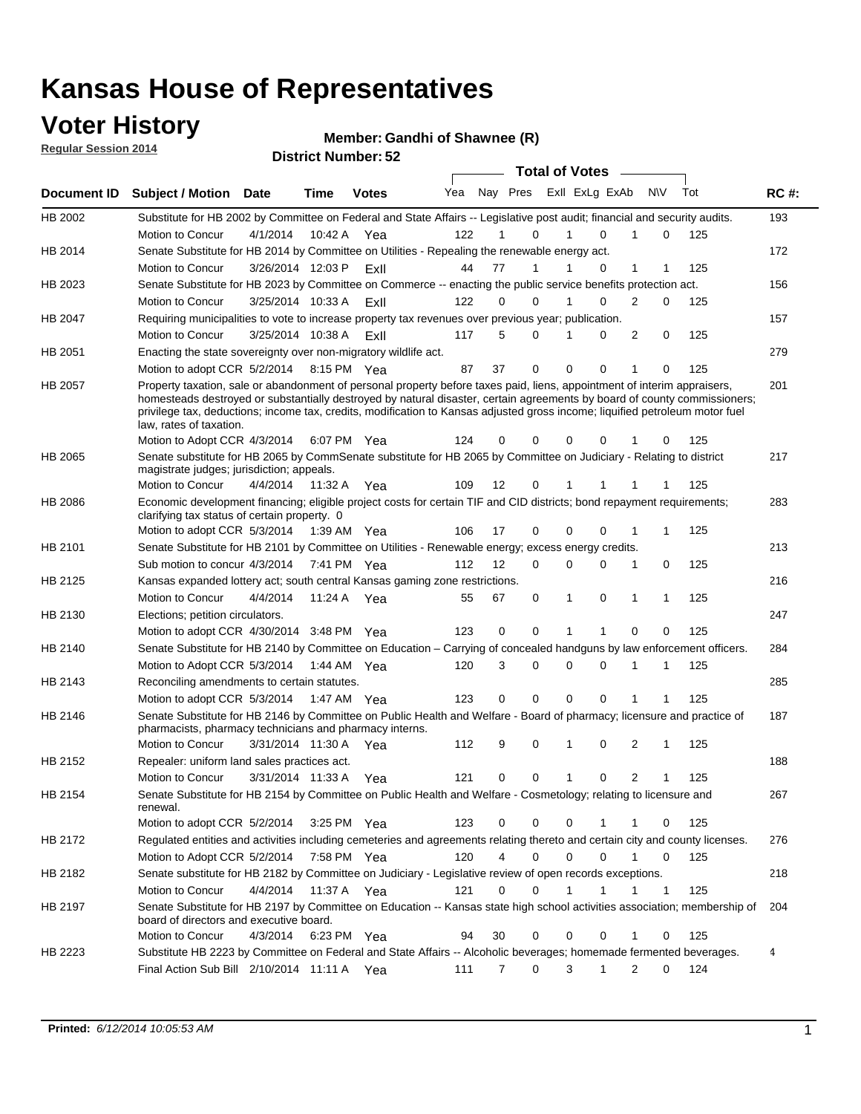### **Voter History**

**Regular Session 2014**

#### **Member: Gandhi of Shawnee (R)**

|                |                                                                                                                                                                                                                                                                                                                                                                                                                  |                   |             | <b>DISUILLINUIIIIDEI.JZ</b> |     |             |                               | <b>Total of Votes</b>   |                |              |     |             |
|----------------|------------------------------------------------------------------------------------------------------------------------------------------------------------------------------------------------------------------------------------------------------------------------------------------------------------------------------------------------------------------------------------------------------------------|-------------------|-------------|-----------------------------|-----|-------------|-------------------------------|-------------------------|----------------|--------------|-----|-------------|
| Document ID    | <b>Subject / Motion Date</b>                                                                                                                                                                                                                                                                                                                                                                                     |                   | <b>Time</b> | <b>Votes</b>                | Yea |             |                               | Nay Pres Exll ExLg ExAb |                | <b>NV</b>    | Tot | <b>RC#:</b> |
| HB 2002        | Substitute for HB 2002 by Committee on Federal and State Affairs -- Legislative post audit; financial and security audits.                                                                                                                                                                                                                                                                                       |                   |             |                             |     |             |                               |                         |                |              |     | 193         |
|                | <b>Motion to Concur</b>                                                                                                                                                                                                                                                                                                                                                                                          | 4/1/2014          | 10:42 A     | Yea                         | 122 |             | 0                             | $\Omega$                | 1              | 0            | 125 |             |
| HB 2014        | Senate Substitute for HB 2014 by Committee on Utilities - Repealing the renewable energy act.                                                                                                                                                                                                                                                                                                                    |                   |             |                             |     |             |                               |                         |                |              |     | 172         |
|                | Motion to Concur                                                                                                                                                                                                                                                                                                                                                                                                 | 3/26/2014 12:03 P |             | ExII                        | 44  | 77          | 1                             | $\Omega$                | 1              | 1            | 125 |             |
| HB 2023        | Senate Substitute for HB 2023 by Committee on Commerce -- enacting the public service benefits protection act.                                                                                                                                                                                                                                                                                                   |                   |             |                             |     |             |                               |                         |                |              |     | 156         |
|                | Motion to Concur                                                                                                                                                                                                                                                                                                                                                                                                 | 3/25/2014 10:33 A |             | ExII                        | 122 | 0           | 0                             | 0                       | 2              | 0            | 125 |             |
| <b>HB 2047</b> | Requiring municipalities to vote to increase property tax revenues over previous year; publication.                                                                                                                                                                                                                                                                                                              |                   |             |                             |     |             |                               |                         |                |              |     | 157         |
|                | Motion to Concur                                                                                                                                                                                                                                                                                                                                                                                                 | 3/25/2014 10:38 A |             | ExII                        | 117 | 5           | 0                             | 0                       | 2              | 0            | 125 |             |
| HB 2051        | Enacting the state sovereignty over non-migratory wildlife act.                                                                                                                                                                                                                                                                                                                                                  |                   |             |                             |     |             |                               |                         |                |              |     | 279         |
|                | Motion to adopt CCR 5/2/2014 8:15 PM Yea                                                                                                                                                                                                                                                                                                                                                                         |                   |             |                             | 87  | 37          | 0                             | $\mathbf 0$<br>0        | 1              | 0            | 125 |             |
| HB 2057        | Property taxation, sale or abandonment of personal property before taxes paid, liens, appointment of interim appraisers,<br>homesteads destroyed or substantially destroyed by natural disaster, certain agreements by board of county commissioners;<br>privilege tax, deductions; income tax, credits, modification to Kansas adjusted gross income; liquified petroleum motor fuel<br>law, rates of taxation. |                   |             |                             |     |             |                               |                         |                |              |     | 201         |
|                | Motion to Adopt CCR 4/3/2014                                                                                                                                                                                                                                                                                                                                                                                     |                   |             | 6:07 PM Yea                 | 124 | 0           | 0                             | 0<br>0                  |                | 0            | 125 |             |
| HB 2065        | Senate substitute for HB 2065 by CommSenate substitute for HB 2065 by Committee on Judiciary - Relating to district<br>magistrate judges; jurisdiction; appeals.                                                                                                                                                                                                                                                 |                   |             |                             |     |             |                               |                         |                |              |     | 217         |
|                | Motion to Concur                                                                                                                                                                                                                                                                                                                                                                                                 | 4/4/2014          | 11:32 A     | Yea                         | 109 | 12          | 0                             | 1<br>1                  |                |              | 125 |             |
| <b>HB 2086</b> | Economic development financing; eligible project costs for certain TIF and CID districts; bond repayment requirements;<br>clarifying tax status of certain property. 0                                                                                                                                                                                                                                           |                   |             |                             |     |             |                               |                         |                |              |     | 283         |
|                | Motion to adopt CCR 5/3/2014                                                                                                                                                                                                                                                                                                                                                                                     |                   | 1:39 AM Yea |                             | 106 | 17          | 0                             | $\mathbf 0$<br>$\Omega$ | 1              | 1            | 125 |             |
| HB 2101        | Senate Substitute for HB 2101 by Committee on Utilities - Renewable energy; excess energy credits.                                                                                                                                                                                                                                                                                                               |                   |             |                             |     |             |                               |                         |                |              |     | 213         |
|                | Sub motion to concur 4/3/2014                                                                                                                                                                                                                                                                                                                                                                                    |                   |             | 7:41 PM Yea                 | 112 | 12          | 0                             | $\mathbf 0$<br>0        | 1              | 0            | 125 |             |
| HB 2125        | Kansas expanded lottery act; south central Kansas gaming zone restrictions.                                                                                                                                                                                                                                                                                                                                      |                   |             |                             |     |             |                               |                         |                |              |     | 216         |
|                | Motion to Concur                                                                                                                                                                                                                                                                                                                                                                                                 | 4/4/2014          | 11:24 A     | Yea                         | 55  | 67          | 0                             | 1<br>0                  | $\mathbf{1}$   | 1            | 125 |             |
| HB 2130        | Elections; petition circulators.                                                                                                                                                                                                                                                                                                                                                                                 |                   |             |                             |     |             |                               |                         |                |              |     | 247         |
|                | Motion to adopt CCR 4/30/2014 3:48 PM Yea                                                                                                                                                                                                                                                                                                                                                                        |                   |             |                             | 123 | 0           | 0                             | 1                       | 0              | 0            | 125 |             |
| HB 2140        | Senate Substitute for HB 2140 by Committee on Education – Carrying of concealed handguns by law enforcement officers.                                                                                                                                                                                                                                                                                            |                   |             |                             |     |             |                               |                         |                |              |     | 284         |
|                | Motion to Adopt CCR 5/3/2014                                                                                                                                                                                                                                                                                                                                                                                     |                   |             | 1:44 AM Yea                 | 120 | 3           | 0                             | $\mathbf 0$<br>0        | 1              | 1            | 125 |             |
| HB 2143        | Reconciling amendments to certain statutes.                                                                                                                                                                                                                                                                                                                                                                      |                   |             |                             |     |             |                               |                         |                |              |     | 285         |
|                | Motion to adopt CCR 5/3/2014                                                                                                                                                                                                                                                                                                                                                                                     |                   | 1:47 AM Yea |                             | 123 | 0           | 0                             | $\mathbf 0$<br>0        | 1              | 1            | 125 |             |
| HB 2146        | Senate Substitute for HB 2146 by Committee on Public Health and Welfare - Board of pharmacy; licensure and practice of<br>pharmacists, pharmacy technicians and pharmacy interns.                                                                                                                                                                                                                                |                   |             |                             |     |             |                               |                         |                |              |     | 187         |
|                | Motion to Concur                                                                                                                                                                                                                                                                                                                                                                                                 | 3/31/2014 11:30 A |             | Yea                         | 112 | 9           | 0                             | 1<br>0                  | 2              | 1            | 125 |             |
| HB 2152        | Repealer: uniform land sales practices act.                                                                                                                                                                                                                                                                                                                                                                      |                   |             |                             |     |             |                               |                         |                |              |     | 188         |
|                | <b>Motion to Concur</b>                                                                                                                                                                                                                                                                                                                                                                                          | 3/31/2014 11:33 A |             | Yea                         | 121 | 0           | 0                             | 1<br>0                  | $\overline{2}$ | 1            | 125 |             |
| HB 2154        | Senate Substitute for HB 2154 by Committee on Public Health and Welfare - Cosmetology; relating to licensure and<br>renewal.                                                                                                                                                                                                                                                                                     |                   |             |                             |     |             |                               |                         |                |              |     | 267         |
|                | Motion to adopt CCR 5/2/2014                                                                                                                                                                                                                                                                                                                                                                                     |                   |             | 3:25 PM Yea                 | 123 | 0           | 0                             | 0<br>1                  | 1              | 0            | 125 |             |
| HB 2172        | Regulated entities and activities including cemeteries and agreements relating thereto and certain city and county licenses.                                                                                                                                                                                                                                                                                     |                   |             |                             |     |             |                               |                         |                |              |     | 276         |
|                | Motion to Adopt CCR 5/2/2014                                                                                                                                                                                                                                                                                                                                                                                     |                   |             | 7:58 PM Yea                 | 120 |             | $\overline{4}$<br>$\mathbf 0$ | $\mathbf 0$<br>$\Omega$ | $\mathbf{1}$   | $\mathbf 0$  | 125 |             |
| HB 2182        | Senate substitute for HB 2182 by Committee on Judiciary - Legislative review of open records exceptions.                                                                                                                                                                                                                                                                                                         |                   |             |                             |     |             |                               |                         |                |              |     | 218         |
|                | Motion to Concur                                                                                                                                                                                                                                                                                                                                                                                                 | 4/4/2014          | 11:37 A Yea |                             | 121 | $\mathbf 0$ | 0                             | $\mathbf{1}$<br>1       | 1              | $\mathbf{1}$ | 125 |             |
| HB 2197        | Senate Substitute for HB 2197 by Committee on Education -- Kansas state high school activities association; membership of                                                                                                                                                                                                                                                                                        |                   |             |                             |     |             |                               |                         |                |              |     | 204         |
|                | board of directors and executive board.<br>Motion to Concur                                                                                                                                                                                                                                                                                                                                                      |                   |             |                             |     | 30          | 0                             | 0<br>0                  | 1              | 0            | 125 |             |
| HB 2223        |                                                                                                                                                                                                                                                                                                                                                                                                                  | 4/3/2014          |             | 6:23 PM Yea                 | 94  |             |                               |                         |                |              |     | 4           |
|                | Substitute HB 2223 by Committee on Federal and State Affairs -- Alcoholic beverages; homemade fermented beverages.<br>Final Action Sub Bill 2/10/2014 11:11 A Yea                                                                                                                                                                                                                                                |                   |             |                             | 111 | 7           | 0                             | 3<br>1                  | 2              | 0            | 124 |             |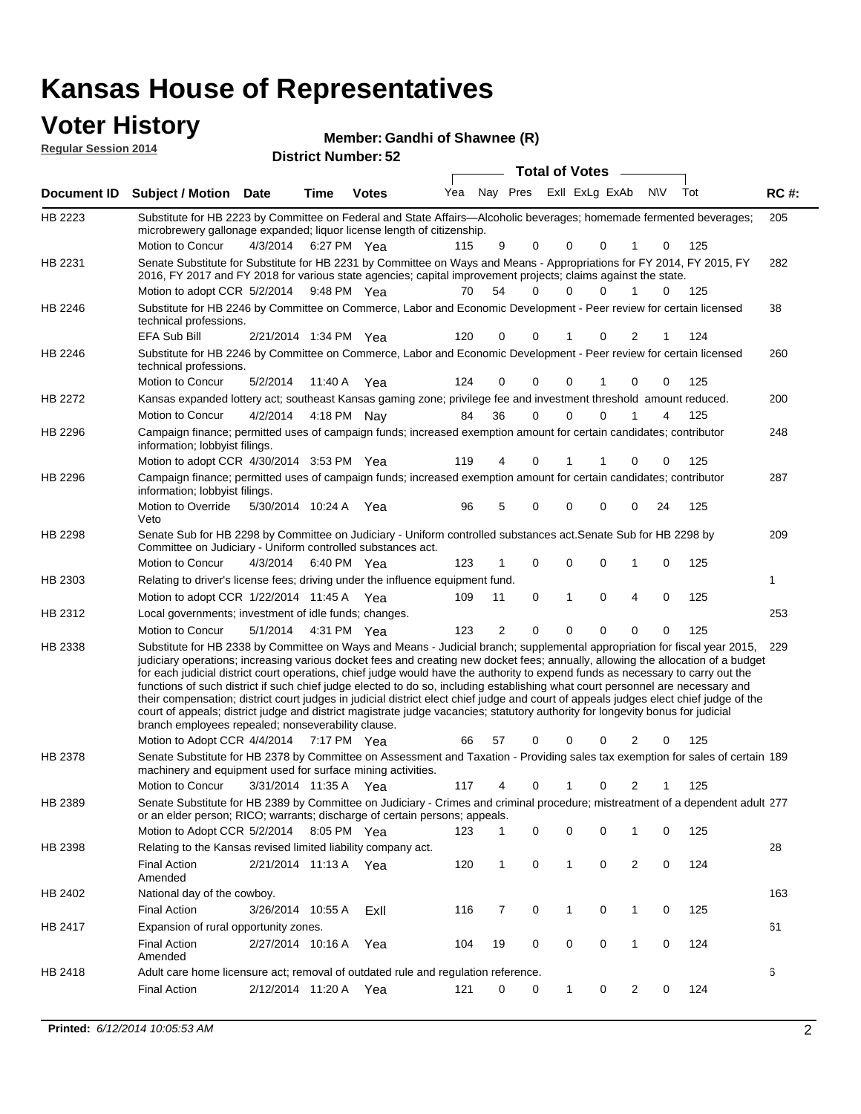#### **Voter History Manufact 10**

| <b>VULGE FILISLUI Y</b>     | Member: Gandhi of Shawnee (R) |
|-----------------------------|-------------------------------|
| <b>Regular Session 2014</b> | <b>District Number: 52</b>    |
|                             | Tota                          |

|         |                                                                                                                                                                                                                                                                                                                                                                                                                                                                                                                                                                                                                                                                                                                                                                                                                                                                                                                 |                       |             |              |     |                |   | <b>Total of Votes</b> |          |                |           |     |             |
|---------|-----------------------------------------------------------------------------------------------------------------------------------------------------------------------------------------------------------------------------------------------------------------------------------------------------------------------------------------------------------------------------------------------------------------------------------------------------------------------------------------------------------------------------------------------------------------------------------------------------------------------------------------------------------------------------------------------------------------------------------------------------------------------------------------------------------------------------------------------------------------------------------------------------------------|-----------------------|-------------|--------------|-----|----------------|---|-----------------------|----------|----------------|-----------|-----|-------------|
|         | Document ID Subject / Motion Date                                                                                                                                                                                                                                                                                                                                                                                                                                                                                                                                                                                                                                                                                                                                                                                                                                                                               |                       | Time        | <b>Votes</b> | Yea | Nay Pres       |   | Exll ExLg ExAb        |          |                | <b>NV</b> | Tot | <b>RC#:</b> |
| HB 2223 | Substitute for HB 2223 by Committee on Federal and State Affairs—Alcoholic beverages; homemade fermented beverages;<br>microbrewery gallonage expanded; liquor license length of citizenship.                                                                                                                                                                                                                                                                                                                                                                                                                                                                                                                                                                                                                                                                                                                   |                       |             |              |     |                |   |                       |          |                |           |     | 205         |
| HB 2231 | Motion to Concur<br>Senate Substitute for Substitute for HB 2231 by Committee on Ways and Means - Appropriations for FY 2014, FY 2015, FY<br>2016, FY 2017 and FY 2018 for various state agencies; capital improvement projects; claims against the state.                                                                                                                                                                                                                                                                                                                                                                                                                                                                                                                                                                                                                                                      | 4/3/2014              | 6:27 PM Yea |              | 115 | 9              | 0 | $\Omega$              | 0        |                | 0         | 125 | 282         |
|         | Motion to adopt CCR 5/2/2014 9:48 PM Yea                                                                                                                                                                                                                                                                                                                                                                                                                                                                                                                                                                                                                                                                                                                                                                                                                                                                        |                       |             |              | 70  | 54             | 0 | 0                     | 0        |                | 0         | 125 |             |
| HB 2246 | Substitute for HB 2246 by Committee on Commerce, Labor and Economic Development - Peer review for certain licensed<br>technical professions.                                                                                                                                                                                                                                                                                                                                                                                                                                                                                                                                                                                                                                                                                                                                                                    |                       |             |              |     |                |   |                       |          |                |           |     | 38          |
|         | EFA Sub Bill                                                                                                                                                                                                                                                                                                                                                                                                                                                                                                                                                                                                                                                                                                                                                                                                                                                                                                    | 2/21/2014 1:34 PM Yea |             |              | 120 | 0              | 0 | 1                     | 0        | 2              |           | 124 |             |
| HB 2246 | Substitute for HB 2246 by Committee on Commerce, Labor and Economic Development - Peer review for certain licensed<br>technical professions.                                                                                                                                                                                                                                                                                                                                                                                                                                                                                                                                                                                                                                                                                                                                                                    |                       |             |              |     |                |   |                       |          |                |           |     | 260         |
|         | Motion to Concur                                                                                                                                                                                                                                                                                                                                                                                                                                                                                                                                                                                                                                                                                                                                                                                                                                                                                                | 5/2/2014              | 11:40 A     | Yea          | 124 | 0              | 0 | $\Omega$              | 1        | 0              | 0         | 125 |             |
| HB 2272 | Kansas expanded lottery act; southeast Kansas gaming zone; privilege fee and investment threshold amount reduced.                                                                                                                                                                                                                                                                                                                                                                                                                                                                                                                                                                                                                                                                                                                                                                                               |                       |             |              |     |                |   |                       |          |                |           |     | 200         |
|         | Motion to Concur                                                                                                                                                                                                                                                                                                                                                                                                                                                                                                                                                                                                                                                                                                                                                                                                                                                                                                | 4/2/2014              | 4:18 PM Nay |              | 84  | 36             | 0 | $\Omega$              | $\Omega$ |                | 4         | 125 |             |
| HB 2296 | Campaign finance; permitted uses of campaign funds; increased exemption amount for certain candidates; contributor<br>information; lobbyist filings.                                                                                                                                                                                                                                                                                                                                                                                                                                                                                                                                                                                                                                                                                                                                                            |                       |             |              |     |                |   |                       |          |                |           |     | 248         |
|         | Motion to adopt CCR 4/30/2014 3:53 PM Yea                                                                                                                                                                                                                                                                                                                                                                                                                                                                                                                                                                                                                                                                                                                                                                                                                                                                       |                       |             |              | 119 | 4              | 0 | 1                     |          | 0              | 0         | 125 |             |
| HB 2296 | Campaign finance; permitted uses of campaign funds; increased exemption amount for certain candidates; contributor<br>information; lobbyist filings.                                                                                                                                                                                                                                                                                                                                                                                                                                                                                                                                                                                                                                                                                                                                                            |                       |             |              |     |                |   |                       |          |                |           |     | 287         |
|         | Motion to Override<br>Veto                                                                                                                                                                                                                                                                                                                                                                                                                                                                                                                                                                                                                                                                                                                                                                                                                                                                                      | 5/30/2014 10:24 A Yea |             |              | 96  | 5              | 0 | $\Omega$              | 0        | 0              | 24        | 125 |             |
| HB 2298 | Senate Sub for HB 2298 by Committee on Judiciary - Uniform controlled substances act. Senate Sub for HB 2298 by<br>Committee on Judiciary - Uniform controlled substances act.                                                                                                                                                                                                                                                                                                                                                                                                                                                                                                                                                                                                                                                                                                                                  |                       |             |              |     |                |   |                       |          |                |           |     | 209         |
|         | Motion to Concur                                                                                                                                                                                                                                                                                                                                                                                                                                                                                                                                                                                                                                                                                                                                                                                                                                                                                                | 4/3/2014              | 6:40 PM Yea |              | 123 | 1              | 0 | 0                     | 0        | 1              | 0         | 125 |             |
| HB 2303 | Relating to driver's license fees; driving under the influence equipment fund.                                                                                                                                                                                                                                                                                                                                                                                                                                                                                                                                                                                                                                                                                                                                                                                                                                  |                       |             |              |     |                |   |                       |          |                |           |     | 1           |
|         | Motion to adopt CCR 1/22/2014 11:45 A Yea                                                                                                                                                                                                                                                                                                                                                                                                                                                                                                                                                                                                                                                                                                                                                                                                                                                                       |                       |             |              | 109 | 11             | 0 | 1                     | 0        | 4              | 0         | 125 |             |
| HB 2312 | Local governments; investment of idle funds; changes.                                                                                                                                                                                                                                                                                                                                                                                                                                                                                                                                                                                                                                                                                                                                                                                                                                                           |                       |             |              |     |                |   |                       |          |                |           |     | 253         |
|         | Motion to Concur                                                                                                                                                                                                                                                                                                                                                                                                                                                                                                                                                                                                                                                                                                                                                                                                                                                                                                | 5/1/2014              | 4:31 PM Yea |              | 123 | $\overline{2}$ | 0 | $\mathbf 0$           | 0        | 0              | 0         | 125 |             |
| HB 2338 | Substitute for HB 2338 by Committee on Ways and Means - Judicial branch; supplemental appropriation for fiscal year 2015,<br>judiciary operations; increasing various docket fees and creating new docket fees; annually, allowing the allocation of a budget<br>for each judicial district court operations, chief judge would have the authority to expend funds as necessary to carry out the<br>functions of such district if such chief judge elected to do so, including establishing what court personnel are necessary and<br>their compensation; district court judges in judicial district elect chief judge and court of appeals judges elect chief judge of the<br>court of appeals; district judge and district magistrate judge vacancies; statutory authority for longevity bonus for judicial<br>branch employees repealed; nonseverability clause.<br>Motion to Adopt CCR 4/4/2014 7:17 PM Yea |                       |             |              | 66  | 57             | 0 | 0                     | 0        | 2              | 0         | 125 | 229         |
| HB 2378 | Senate Substitute for HB 2378 by Committee on Assessment and Taxation - Providing sales tax exemption for sales of certain 189                                                                                                                                                                                                                                                                                                                                                                                                                                                                                                                                                                                                                                                                                                                                                                                  |                       |             |              |     |                |   |                       |          |                |           |     |             |
|         | machinery and equipment used for surface mining activities.                                                                                                                                                                                                                                                                                                                                                                                                                                                                                                                                                                                                                                                                                                                                                                                                                                                     |                       |             |              |     |                |   |                       |          |                |           |     |             |
|         | Motion to Concur                                                                                                                                                                                                                                                                                                                                                                                                                                                                                                                                                                                                                                                                                                                                                                                                                                                                                                | 3/31/2014 11:35 A     |             | Yea          | 117 | 4              | 0 | 1                     | 0        | 2              | 1         | 125 |             |
| HB 2389 | Senate Substitute for HB 2389 by Committee on Judiciary - Crimes and criminal procedure; mistreatment of a dependent adult 277<br>or an elder person; RICO; warrants; discharge of certain persons; appeals.                                                                                                                                                                                                                                                                                                                                                                                                                                                                                                                                                                                                                                                                                                    |                       |             |              |     |                |   |                       |          |                |           |     |             |
|         | Motion to Adopt CCR 5/2/2014                                                                                                                                                                                                                                                                                                                                                                                                                                                                                                                                                                                                                                                                                                                                                                                                                                                                                    |                       | 8:05 PM Yea |              | 123 | 1.             | 0 | 0                     | 0        | 1              | 0         | 125 |             |
| HB 2398 | Relating to the Kansas revised limited liability company act.                                                                                                                                                                                                                                                                                                                                                                                                                                                                                                                                                                                                                                                                                                                                                                                                                                                   |                       |             |              |     |                |   |                       |          |                |           |     | 28          |
|         | <b>Final Action</b><br>Amended                                                                                                                                                                                                                                                                                                                                                                                                                                                                                                                                                                                                                                                                                                                                                                                                                                                                                  | 2/21/2014 11:13 A Yea |             |              | 120 | 1              | 0 | $\mathbf{1}$          | 0        | 2              | 0         | 124 |             |
| HB 2402 | National day of the cowboy.                                                                                                                                                                                                                                                                                                                                                                                                                                                                                                                                                                                                                                                                                                                                                                                                                                                                                     |                       |             |              |     |                |   |                       |          |                |           |     | 163         |
|         | <b>Final Action</b>                                                                                                                                                                                                                                                                                                                                                                                                                                                                                                                                                                                                                                                                                                                                                                                                                                                                                             | 3/26/2014 10:55 A     |             | ExII         | 116 | 7              | 0 | 1                     | 0        | 1              | 0         | 125 |             |
| HB 2417 | Expansion of rural opportunity zones.                                                                                                                                                                                                                                                                                                                                                                                                                                                                                                                                                                                                                                                                                                                                                                                                                                                                           |                       |             |              |     |                |   |                       |          |                |           |     | 61          |
|         | <b>Final Action</b><br>Amended                                                                                                                                                                                                                                                                                                                                                                                                                                                                                                                                                                                                                                                                                                                                                                                                                                                                                  | 2/27/2014 10:16 A     |             | Yea          | 104 | 19             | 0 | 0                     | 0        | 1              | 0         | 124 |             |
| HB 2418 | Adult care home licensure act; removal of outdated rule and regulation reference.                                                                                                                                                                                                                                                                                                                                                                                                                                                                                                                                                                                                                                                                                                                                                                                                                               |                       |             |              |     |                |   |                       |          |                |           |     | 6           |
|         | <b>Final Action</b>                                                                                                                                                                                                                                                                                                                                                                                                                                                                                                                                                                                                                                                                                                                                                                                                                                                                                             | 2/12/2014 11:20 A Yea |             |              | 121 | 0              | 0 | $\mathbf{1}$          | 0        | $\overline{2}$ | 0         | 124 |             |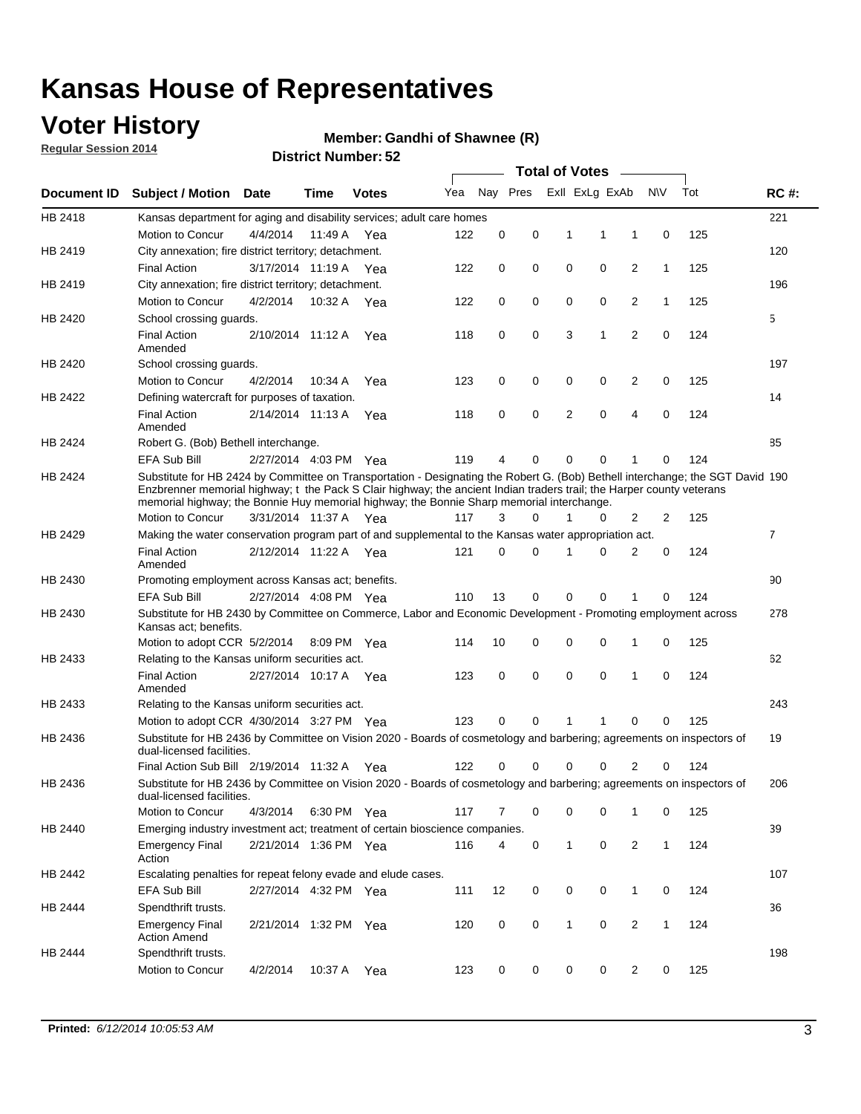### **Voter History**

**Regular Session 2014**

#### **Member: Gandhi of Shawnee (R)**

|             |                                                                                                                                                                                                                                                                                                                                                      |                       |         | <b>DISUILLINUIIIIDEI.JZ</b> |     |    |          | <b>Total of Votes</b> |                |                |              |     |                |
|-------------|------------------------------------------------------------------------------------------------------------------------------------------------------------------------------------------------------------------------------------------------------------------------------------------------------------------------------------------------------|-----------------------|---------|-----------------------------|-----|----|----------|-----------------------|----------------|----------------|--------------|-----|----------------|
| Document ID | <b>Subject / Motion Date</b>                                                                                                                                                                                                                                                                                                                         |                       | Time    | <b>Votes</b>                | Yea |    | Nay Pres |                       | Exll ExLg ExAb |                | N\V          | Tot | <b>RC#:</b>    |
| HB 2418     | Kansas department for aging and disability services; adult care homes                                                                                                                                                                                                                                                                                |                       |         |                             |     |    |          |                       |                |                |              |     | 221            |
|             | Motion to Concur                                                                                                                                                                                                                                                                                                                                     | 4/4/2014              | 11:49 A | Yea                         | 122 | 0  | 0        | 1                     | 1              | 1              | 0            | 125 |                |
| HB 2419     | City annexation; fire district territory; detachment.                                                                                                                                                                                                                                                                                                |                       |         |                             |     |    |          |                       |                |                |              |     | 120            |
|             | <b>Final Action</b>                                                                                                                                                                                                                                                                                                                                  | 3/17/2014 11:19 A     |         | Yea                         | 122 | 0  | 0        | $\mathbf 0$           | 0              | 2              | $\mathbf{1}$ | 125 |                |
| HB 2419     | City annexation; fire district territory; detachment.                                                                                                                                                                                                                                                                                                |                       |         |                             |     |    |          |                       |                |                |              |     | 196            |
|             | Motion to Concur                                                                                                                                                                                                                                                                                                                                     | 4/2/2014              |         | 10:32 A Yea                 | 122 | 0  | 0        | $\mathbf 0$           | 0              | 2              | $\mathbf{1}$ | 125 |                |
| HB 2420     | School crossing guards.                                                                                                                                                                                                                                                                                                                              |                       |         |                             |     |    |          |                       |                |                |              |     | 5              |
|             | <b>Final Action</b><br>Amended                                                                                                                                                                                                                                                                                                                       | 2/10/2014 11:12 A     |         | Yea                         | 118 | 0  | 0        | 3                     | 1              | $\overline{2}$ | 0            | 124 |                |
| HB 2420     | School crossing guards.                                                                                                                                                                                                                                                                                                                              |                       |         |                             |     |    |          |                       |                |                |              |     | 197            |
|             | Motion to Concur                                                                                                                                                                                                                                                                                                                                     | 4/2/2014              | 10:34 A | Yea                         | 123 | 0  | 0        | 0                     | 0              | $\overline{c}$ | 0            | 125 |                |
| HB 2422     | Defining watercraft for purposes of taxation.                                                                                                                                                                                                                                                                                                        |                       |         |                             |     |    |          |                       |                |                |              |     | 14             |
|             | <b>Final Action</b><br>Amended                                                                                                                                                                                                                                                                                                                       | 2/14/2014 11:13 A     |         | Yea                         | 118 | 0  | 0        | 2                     | $\mathbf 0$    | $\overline{4}$ | 0            | 124 |                |
| HB 2424     | Robert G. (Bob) Bethell interchange.                                                                                                                                                                                                                                                                                                                 |                       |         |                             |     |    |          |                       |                |                |              |     | 85             |
|             | <b>EFA Sub Bill</b>                                                                                                                                                                                                                                                                                                                                  | 2/27/2014 4:03 PM Yea |         |                             | 119 | 4  | 0        | 0                     | 0              | 1              | 0            | 124 |                |
| HB 2424     | Substitute for HB 2424 by Committee on Transportation - Designating the Robert G. (Bob) Bethell interchange; the SGT David 190<br>Enzbrenner memorial highway; t the Pack S Clair highway; the ancient Indian traders trail; the Harper county veterans<br>memorial highway; the Bonnie Huy memorial highway; the Bonnie Sharp memorial interchange. |                       |         |                             |     |    |          |                       |                |                |              |     |                |
|             | Motion to Concur                                                                                                                                                                                                                                                                                                                                     | 3/31/2014 11:37 A Yea |         |                             | 117 | 3  | 0        | $\mathbf{1}$          | 0              | $\overline{2}$ | 2            | 125 |                |
| HB 2429     | Making the water conservation program part of and supplemental to the Kansas water appropriation act.                                                                                                                                                                                                                                                |                       |         |                             |     |    |          |                       |                |                |              |     | $\overline{7}$ |
|             | <b>Final Action</b><br>Amended                                                                                                                                                                                                                                                                                                                       | 2/12/2014 11:22 A     |         | Yea                         | 121 | 0  | 0        | 1                     | $\Omega$       | $\overline{2}$ | 0            | 124 |                |
| HB 2430     | Promoting employment across Kansas act; benefits.                                                                                                                                                                                                                                                                                                    |                       |         |                             |     |    |          |                       |                |                |              |     | 90             |
|             | EFA Sub Bill                                                                                                                                                                                                                                                                                                                                         | 2/27/2014 4:08 PM Yea |         |                             | 110 | 13 | 0        | $\mathbf 0$           | 0              | 1              | 0            | 124 |                |
| HB 2430     | Substitute for HB 2430 by Committee on Commerce, Labor and Economic Development - Promoting employment across                                                                                                                                                                                                                                        |                       |         |                             |     |    |          |                       |                |                |              |     | 278            |
|             | Kansas act; benefits.<br>Motion to adopt CCR 5/2/2014 8:09 PM Yea                                                                                                                                                                                                                                                                                    |                       |         |                             | 114 | 10 | 0        | 0                     | 0              | 1              | 0            | 125 |                |
| HB 2433     | Relating to the Kansas uniform securities act.                                                                                                                                                                                                                                                                                                       |                       |         |                             |     |    |          |                       |                |                |              |     | 62             |
|             | <b>Final Action</b><br>Amended                                                                                                                                                                                                                                                                                                                       | 2/27/2014 10:17 A Yea |         |                             | 123 | 0  | 0        | $\mathbf 0$           | $\mathbf 0$    | 1              | 0            | 124 |                |
| HB 2433     | Relating to the Kansas uniform securities act.                                                                                                                                                                                                                                                                                                       |                       |         |                             |     |    |          |                       |                |                |              |     | 243            |
|             | Motion to adopt CCR 4/30/2014 3:27 PM Yea                                                                                                                                                                                                                                                                                                            |                       |         |                             | 123 | 0  | 0        | 1                     | 1              | $\mathbf 0$    | 0            | 125 |                |
| HB 2436     | Substitute for HB 2436 by Committee on Vision 2020 - Boards of cosmetology and barbering; agreements on inspectors of<br>dual-licensed facilities.                                                                                                                                                                                                   |                       |         |                             |     |    |          |                       |                |                |              |     | 19             |
|             | Final Action Sub Bill 2/19/2014 11:32 A                                                                                                                                                                                                                                                                                                              |                       |         | Yea                         | 122 | 0  | 0        | 0                     | 0              | $\overline{2}$ | 0            | 124 |                |
| HB 2436     | Substitute for HB 2436 by Committee on Vision 2020 - Boards of cosmetology and barbering; agreements on inspectors of<br>dual-licensed facilities.                                                                                                                                                                                                   |                       |         |                             |     |    |          |                       |                |                |              |     | 206            |
|             | Motion to Concur                                                                                                                                                                                                                                                                                                                                     | 4/3/2014              |         | 6:30 PM Yea                 | 117 | 7  | 0        | 0                     | 0              | 1              | 0            | 125 |                |
| HB 2440     | Emerging industry investment act; treatment of certain bioscience companies.                                                                                                                                                                                                                                                                         |                       |         |                             |     |    |          |                       |                |                |              |     | 39             |
|             | <b>Emergency Final</b><br>Action                                                                                                                                                                                                                                                                                                                     | 2/21/2014 1:36 PM Yea |         |                             | 116 | 4  | 0        | $\mathbf{1}$          | 0              | 2              | $\mathbf{1}$ | 124 |                |
| HB 2442     | Escalating penalties for repeat felony evade and elude cases.                                                                                                                                                                                                                                                                                        |                       |         |                             |     |    |          |                       |                |                |              |     | 107            |
|             | EFA Sub Bill                                                                                                                                                                                                                                                                                                                                         | 2/27/2014 4:32 PM Yea |         |                             | 111 | 12 | 0        | 0                     | 0              | 1              | 0            | 124 |                |
| HB 2444     | Spendthrift trusts.                                                                                                                                                                                                                                                                                                                                  |                       |         |                             |     |    |          |                       |                |                |              |     | 36             |
|             | <b>Emergency Final</b><br><b>Action Amend</b>                                                                                                                                                                                                                                                                                                        | 2/21/2014 1:32 PM Yea |         |                             | 120 | 0  | 0        | $\mathbf{1}$          | 0              | $\overline{2}$ | $\mathbf{1}$ | 124 |                |
| HB 2444     | Spendthrift trusts.                                                                                                                                                                                                                                                                                                                                  |                       |         |                             |     |    |          |                       |                |                |              |     | 198            |
|             | Motion to Concur                                                                                                                                                                                                                                                                                                                                     | 4/2/2014              | 10:37 A | Yea                         | 123 | 0  | 0        | 0                     | 0              | $\overline{2}$ | 0            | 125 |                |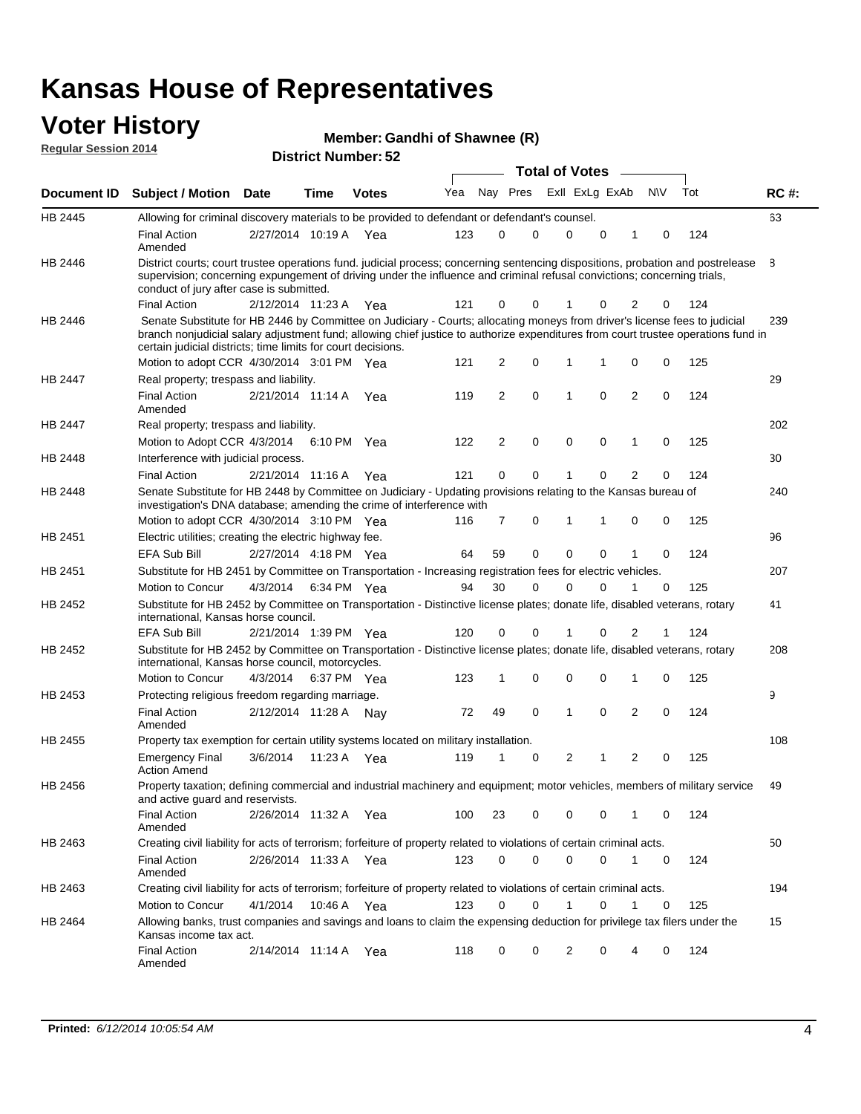#### **Voter History Regular Session 2014**

| Member: Gandhi of Shawnee (R) |  |  |
|-------------------------------|--|--|
|-------------------------------|--|--|

| <b>District Number: 52</b> |
|----------------------------|
|                            |

|                |                                                                                                                                                                                                                                                                                                                                 |                       |      |              |     |    |             | <b>Total of Votes</b> |             |                |             |     |             |
|----------------|---------------------------------------------------------------------------------------------------------------------------------------------------------------------------------------------------------------------------------------------------------------------------------------------------------------------------------|-----------------------|------|--------------|-----|----|-------------|-----------------------|-------------|----------------|-------------|-----|-------------|
|                | Document ID Subject / Motion Date                                                                                                                                                                                                                                                                                               |                       | Time | <b>Votes</b> | Yea |    | Nay Pres    | Exll ExLg ExAb        |             |                | <b>NV</b>   | Tot | <b>RC#:</b> |
| HB 2445        | Allowing for criminal discovery materials to be provided to defendant or defendant's counsel.                                                                                                                                                                                                                                   |                       |      |              |     |    |             |                       |             |                |             |     | 63          |
|                | <b>Final Action</b><br>Amended                                                                                                                                                                                                                                                                                                  | 2/27/2014 10:19 A Yea |      |              | 123 | 0  | 0           | $\mathbf 0$           | $\mathbf 0$ | 1              | 0           | 124 |             |
| HB 2446        | District courts; court trustee operations fund. judicial process; concerning sentencing dispositions, probation and postrelease<br>supervision; concerning expungement of driving under the influence and criminal refusal convictions; concerning trials,<br>conduct of jury after case is submitted.                          |                       |      |              |     |    |             |                       |             |                |             |     | 8           |
|                | <b>Final Action</b>                                                                                                                                                                                                                                                                                                             | 2/12/2014 11:23 A Yea |      |              | 121 | 0  | 0           |                       | 0           | 2              | 0           | 124 |             |
| HB 2446        | Senate Substitute for HB 2446 by Committee on Judiciary - Courts; allocating moneys from driver's license fees to judicial<br>branch nonjudicial salary adjustment fund; allowing chief justice to authorize expenditures from court trustee operations fund in<br>certain judicial districts; time limits for court decisions. |                       |      |              |     |    |             |                       |             |                |             |     | 239         |
|                | Motion to adopt CCR 4/30/2014 3:01 PM Yea                                                                                                                                                                                                                                                                                       |                       |      |              | 121 | 2  | 0           | 1                     | 1           | 0              | 0           | 125 |             |
| <b>HB 2447</b> | Real property; trespass and liability.                                                                                                                                                                                                                                                                                          |                       |      |              |     |    |             |                       |             |                |             |     | 29          |
|                | <b>Final Action</b><br>Amended                                                                                                                                                                                                                                                                                                  | 2/21/2014 11:14 A Yea |      |              | 119 | 2  | $\mathbf 0$ | $\mathbf 1$           | $\mathbf 0$ | 2              | 0           | 124 |             |
| HB 2447        | Real property; trespass and liability.                                                                                                                                                                                                                                                                                          |                       |      |              |     |    |             |                       |             |                |             |     | 202         |
|                | Motion to Adopt CCR 4/3/2014                                                                                                                                                                                                                                                                                                    |                       |      | 6:10 PM Yea  | 122 | 2  | $\mathbf 0$ | $\mathbf 0$           | $\mathbf 0$ | 1              | 0           | 125 |             |
| HB 2448        | Interference with judicial process.                                                                                                                                                                                                                                                                                             |                       |      |              |     |    |             |                       |             |                |             |     | 30          |
|                | <b>Final Action</b>                                                                                                                                                                                                                                                                                                             | 2/21/2014 11:16 A Yea |      |              | 121 | 0  | 0           | $\mathbf 1$           | 0           | $\overline{2}$ | 0           | 124 |             |
| HB 2448        | Senate Substitute for HB 2448 by Committee on Judiciary - Updating provisions relating to the Kansas bureau of<br>investigation's DNA database; amending the crime of interference with                                                                                                                                         |                       |      |              |     |    |             |                       |             |                |             |     | 240         |
|                | Motion to adopt CCR 4/30/2014 3:10 PM Yea                                                                                                                                                                                                                                                                                       |                       |      |              | 116 | 7  | 0           | 1                     | 1           | 0              | 0           | 125 |             |
| HB 2451        | Electric utilities; creating the electric highway fee.                                                                                                                                                                                                                                                                          |                       |      |              |     |    |             |                       |             |                |             |     | 96          |
|                | <b>EFA Sub Bill</b>                                                                                                                                                                                                                                                                                                             | 2/27/2014 4:18 PM Yea |      |              | 64  | 59 | 0           | $\mathbf 0$           | 0           | 1              | 0           | 124 |             |
| HB 2451        | Substitute for HB 2451 by Committee on Transportation - Increasing registration fees for electric vehicles.                                                                                                                                                                                                                     |                       |      |              |     |    |             |                       |             |                |             |     | 207         |
|                | Motion to Concur                                                                                                                                                                                                                                                                                                                | 4/3/2014              |      | 6:34 PM Yea  | 94  | 30 | 0           | $\Omega$              | 0           |                | 0           | 125 |             |
| HB 2452        | Substitute for HB 2452 by Committee on Transportation - Distinctive license plates; donate life, disabled veterans, rotary<br>international, Kansas horse council.                                                                                                                                                              |                       |      |              |     |    |             |                       |             |                |             |     | 41          |
|                | <b>EFA Sub Bill</b>                                                                                                                                                                                                                                                                                                             | 2/21/2014 1:39 PM Yea |      |              | 120 | 0  | 0           |                       | 0           | 2              | 1           | 124 |             |
| HB 2452        | Substitute for HB 2452 by Committee on Transportation - Distinctive license plates; donate life, disabled veterans, rotary<br>international, Kansas horse council, motorcycles.                                                                                                                                                 |                       |      |              |     |    |             |                       |             |                |             |     | 208         |
|                | Motion to Concur                                                                                                                                                                                                                                                                                                                | 4/3/2014              |      | 6:37 PM Yea  | 123 | 1  | $\mathbf 0$ | $\mathbf 0$           | 0           | 1              | 0           | 125 |             |
| HB 2453        | Protecting religious freedom regarding marriage.                                                                                                                                                                                                                                                                                |                       |      |              |     |    |             |                       |             |                |             |     | 9           |
|                | <b>Final Action</b><br>Amended                                                                                                                                                                                                                                                                                                  | 2/12/2014 11:28 A Nay |      |              | 72  | 49 | $\mathbf 0$ | $\overline{1}$        | $\Omega$    | 2              | 0           | 124 |             |
| HB 2455        | Property tax exemption for certain utility systems located on military installation.                                                                                                                                                                                                                                            |                       |      |              |     |    |             |                       |             |                |             |     | 108         |
|                | <b>Emergency Final</b><br><b>Action Amend</b>                                                                                                                                                                                                                                                                                   | 3/6/2014              |      | 11:23 A Yea  | 119 | 1  | 0           | $\overline{2}$        | 1           | 2              | 0           | 125 |             |
| HB 2456        | Property taxation; defining commercial and industrial machinery and equipment; motor vehicles, members of military service<br>and active guard and reservists.                                                                                                                                                                  |                       |      |              |     |    |             |                       |             |                |             |     | 49          |
|                | <b>Final Action</b><br>Amended                                                                                                                                                                                                                                                                                                  | 2/26/2014 11:32 A Yea |      |              | 100 | 23 | 0           | 0                     | 0           | 1              | 0           | 124 |             |
| HB 2463        | Creating civil liability for acts of terrorism; forfeiture of property related to violations of certain criminal acts.                                                                                                                                                                                                          |                       |      |              |     |    |             |                       |             |                |             |     | 50          |
|                | <b>Final Action</b><br>Amended                                                                                                                                                                                                                                                                                                  | 2/26/2014 11:33 A Yea |      |              | 123 | 0  | $\mathbf 0$ | $\mathbf 0$           | $\mathbf 0$ | $\mathbf{1}$   | $\mathbf 0$ | 124 |             |
| HB 2463        | Creating civil liability for acts of terrorism; forfeiture of property related to violations of certain criminal acts.                                                                                                                                                                                                          |                       |      |              |     |    |             |                       |             |                |             |     | 194         |
|                | Motion to Concur                                                                                                                                                                                                                                                                                                                | 4/1/2014              |      | 10:46 A Yea  | 123 | 0  | $\mathbf 0$ | 1                     | 0           | 1              | 0           | 125 |             |
| HB 2464        | Allowing banks, trust companies and savings and loans to claim the expensing deduction for privilege tax filers under the<br>Kansas income tax act.                                                                                                                                                                             |                       |      |              |     |    |             |                       |             |                |             |     | 15          |
|                | <b>Final Action</b><br>Amended                                                                                                                                                                                                                                                                                                  | 2/14/2014 11:14 A Yea |      |              | 118 | 0  | 0           | 2                     | 0           | 4              | 0           | 124 |             |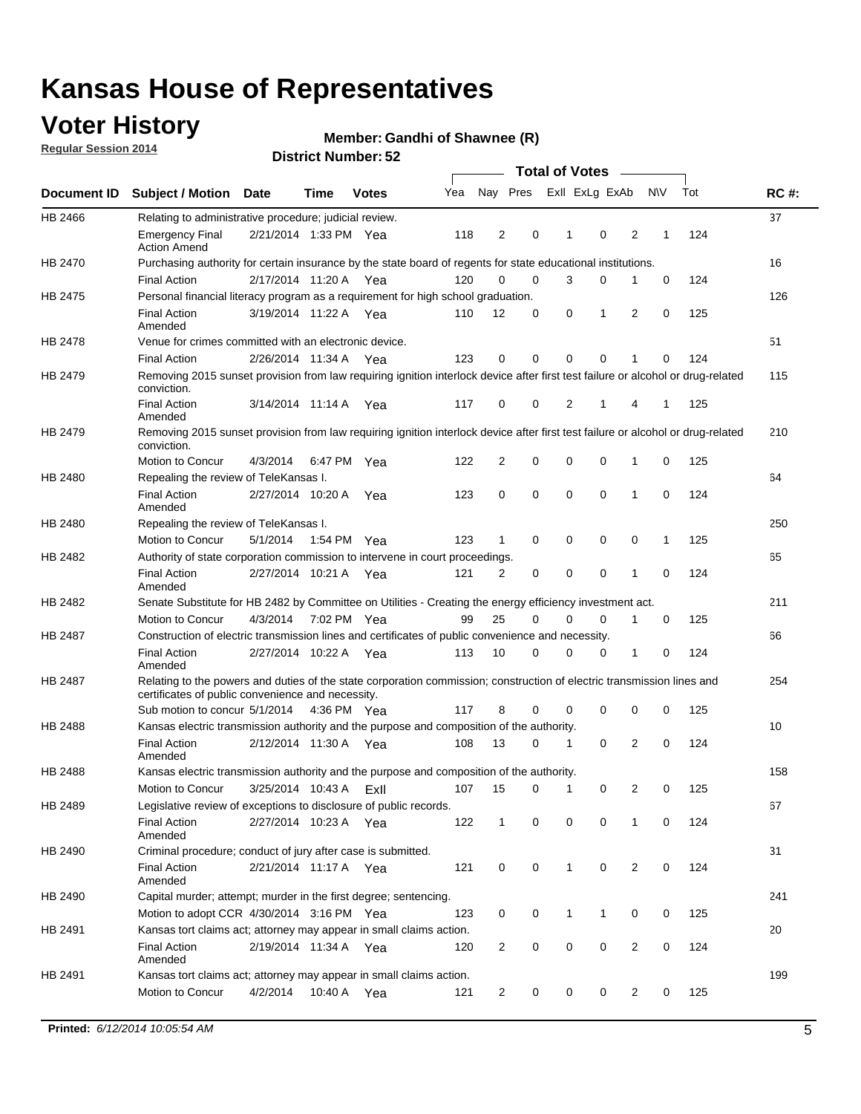### **Voter History**

**Regular Session 2014**

#### **Member: Gandhi of Shawnee (R)**

|                    |                                                                                                                                                                             |                       |             |              |     |                |          | <b>Total of Votes</b> |              |                |                |              |     |             |
|--------------------|-----------------------------------------------------------------------------------------------------------------------------------------------------------------------------|-----------------------|-------------|--------------|-----|----------------|----------|-----------------------|--------------|----------------|----------------|--------------|-----|-------------|
| <b>Document ID</b> | <b>Subject / Motion Date</b>                                                                                                                                                |                       | Time        | <b>Votes</b> | Yea |                | Nay Pres |                       |              | Exll ExLg ExAb |                | <b>NV</b>    | Tot | <b>RC#:</b> |
| HB 2466            | Relating to administrative procedure; judicial review.                                                                                                                      |                       |             |              |     |                |          |                       |              |                |                |              |     | 37          |
|                    | <b>Emergency Final</b><br><b>Action Amend</b>                                                                                                                               | 2/21/2014 1:33 PM Yea |             |              | 118 | 2              |          | 0                     | 1            | 0              | 2              | 1            | 124 |             |
| HB 2470            | Purchasing authority for certain insurance by the state board of regents for state educational institutions.                                                                |                       |             |              |     |                |          |                       |              |                |                |              |     | 16          |
|                    | <b>Final Action</b>                                                                                                                                                         | 2/17/2014 11:20 A Yea |             |              | 120 | 0              |          | 0                     | 3            | 0              | 1              | 0            | 124 |             |
| HB 2475            | Personal financial literacy program as a requirement for high school graduation.                                                                                            |                       |             |              |     |                |          |                       |              |                |                |              |     | 126         |
|                    | <b>Final Action</b><br>Amended                                                                                                                                              | 3/19/2014 11:22 A Yea |             |              | 110 | 12             |          | 0                     | 0            | 1              | 2              | $\mathbf 0$  | 125 |             |
| <b>HB 2478</b>     | Venue for crimes committed with an electronic device.                                                                                                                       |                       |             |              |     |                |          |                       |              |                |                |              |     | 51          |
|                    | <b>Final Action</b>                                                                                                                                                         | 2/26/2014 11:34 A     |             | Yea          | 123 | 0              |          | 0                     | $\Omega$     | 0              | 1              | 0            | 124 |             |
| HB 2479            | Removing 2015 sunset provision from law requiring ignition interlock device after first test failure or alcohol or drug-related<br>conviction.                              |                       |             |              |     |                |          |                       |              |                |                |              |     | 115         |
|                    | <b>Final Action</b><br>Amended                                                                                                                                              | 3/14/2014 11:14 A     |             | Yea          | 117 | 0              |          | 0                     | 2            | 1              | 4              | 1            | 125 |             |
| HB 2479            | Removing 2015 sunset provision from law requiring ignition interlock device after first test failure or alcohol or drug-related<br>conviction.                              |                       |             |              |     |                |          |                       |              |                |                |              |     | 210         |
|                    | Motion to Concur                                                                                                                                                            | 4/3/2014              |             | 6:47 PM Yea  | 122 | $\overline{2}$ |          | 0                     | 0            | 0              | 1              | 0            | 125 |             |
| HB 2480            | Repealing the review of TeleKansas I.                                                                                                                                       |                       |             |              |     |                |          |                       |              |                |                |              |     | 64          |
|                    | <b>Final Action</b><br>Amended                                                                                                                                              | 2/27/2014 10:20 A Yea |             |              | 123 | 0              |          | 0                     | $\mathbf 0$  | $\mathbf 0$    | 1              | 0            | 124 |             |
| HB 2480            | Repealing the review of TeleKansas I.                                                                                                                                       |                       |             |              |     |                |          |                       |              |                |                |              |     | 250         |
|                    | Motion to Concur                                                                                                                                                            | 5/1/2014              | 1:54 PM Yea |              | 123 | 1              |          | 0                     | 0            | 0              | 0              | $\mathbf{1}$ | 125 |             |
| HB 2482            | Authority of state corporation commission to intervene in court proceedings.                                                                                                |                       |             |              |     |                |          |                       |              |                |                |              |     | 65          |
|                    | <b>Final Action</b><br>Amended                                                                                                                                              | 2/27/2014 10:21 A     |             | Yea          | 121 | 2              |          | 0                     | 0            | 0              | 1              | 0            | 124 |             |
| HB 2482            | Senate Substitute for HB 2482 by Committee on Utilities - Creating the energy efficiency investment act.                                                                    |                       |             |              |     |                |          |                       |              |                |                |              |     | 211         |
|                    | Motion to Concur                                                                                                                                                            | 4/3/2014 7:02 PM Yea  |             |              | 99  | 25             |          | $\Omega$              | 0            | 0              | 1              | 0            | 125 |             |
| HB 2487            | Construction of electric transmission lines and certificates of public convenience and necessity.                                                                           |                       |             |              |     |                |          |                       |              |                |                |              |     | 66          |
|                    | <b>Final Action</b><br>Amended                                                                                                                                              | 2/27/2014 10:22 A     |             | Yea          | 113 | 10             |          | 0                     | 0            | 0              | 1              | 0            | 124 |             |
| HB 2487            | Relating to the powers and duties of the state corporation commission; construction of electric transmission lines and<br>certificates of public convenience and necessity. |                       |             |              |     |                |          |                       |              |                |                |              |     | 254         |
|                    | Sub motion to concur 5/1/2014 4:36 PM Yea                                                                                                                                   |                       |             |              | 117 | 8              |          | 0                     | 0            | $\mathbf 0$    | 0              | 0            | 125 |             |
| <b>HB 2488</b>     | Kansas electric transmission authority and the purpose and composition of the authority.                                                                                    |                       |             |              |     |                |          |                       |              |                |                |              |     | 10          |
|                    | <b>Final Action</b><br>Amended                                                                                                                                              | 2/12/2014 11:30 A Yea |             |              | 108 | 13             |          | 0                     | 1            | $\mathbf 0$    | 2              | $\mathbf 0$  | 124 |             |
| <b>HB 2488</b>     | Kansas electric transmission authority and the purpose and composition of the authority.                                                                                    |                       |             |              |     |                |          |                       |              |                |                |              |     | 158         |
|                    | Motion to Concur                                                                                                                                                            | 3/25/2014 10:43 A     |             | ExII         | 107 | 15             |          | 0                     | 1            | 0              | 2              | 0            | 125 |             |
| HB 2489            | Legislative review of exceptions to disclosure of public records.                                                                                                           |                       |             |              |     |                |          |                       |              |                |                |              |     | 67          |
|                    | <b>Final Action</b><br>Amended                                                                                                                                              | 2/27/2014 10:23 A Yea |             |              | 122 | $\mathbf{1}$   |          | 0                     | 0            | 0              | 1              | 0            | 124 |             |
| HB 2490            | Criminal procedure; conduct of jury after case is submitted.                                                                                                                |                       |             |              |     |                |          |                       |              |                |                |              |     | 31          |
|                    | <b>Final Action</b><br>Amended                                                                                                                                              | 2/21/2014 11:17 A Yea |             |              | 121 | 0              |          | 0                     | $\mathbf{1}$ | $\mathbf 0$    | $\overline{2}$ | 0            | 124 |             |
| HB 2490            | Capital murder; attempt; murder in the first degree; sentencing.                                                                                                            |                       |             |              |     |                |          |                       |              |                |                |              |     | 241         |
|                    | Motion to adopt CCR 4/30/2014 3:16 PM Yea                                                                                                                                   |                       |             |              | 123 | 0              |          | 0                     | $\mathbf{1}$ | 1              | 0              | 0            | 125 |             |
| HB 2491            | Kansas tort claims act; attorney may appear in small claims action.                                                                                                         |                       |             |              |     |                |          |                       |              |                |                |              |     | 20          |
|                    | <b>Final Action</b><br>Amended                                                                                                                                              | 2/19/2014 11:34 A Yea |             |              | 120 | $\overline{2}$ |          | 0                     | 0            | 0              | 2              | 0            | 124 |             |
| HB 2491            | Kansas tort claims act; attorney may appear in small claims action.                                                                                                         |                       |             |              |     |                |          |                       |              |                |                |              |     | 199         |
|                    | Motion to Concur                                                                                                                                                            | 4/2/2014              |             | 10:40 A Yea  | 121 | $\overline{2}$ |          | 0                     | 0            | 0              | $\overline{2}$ | 0            | 125 |             |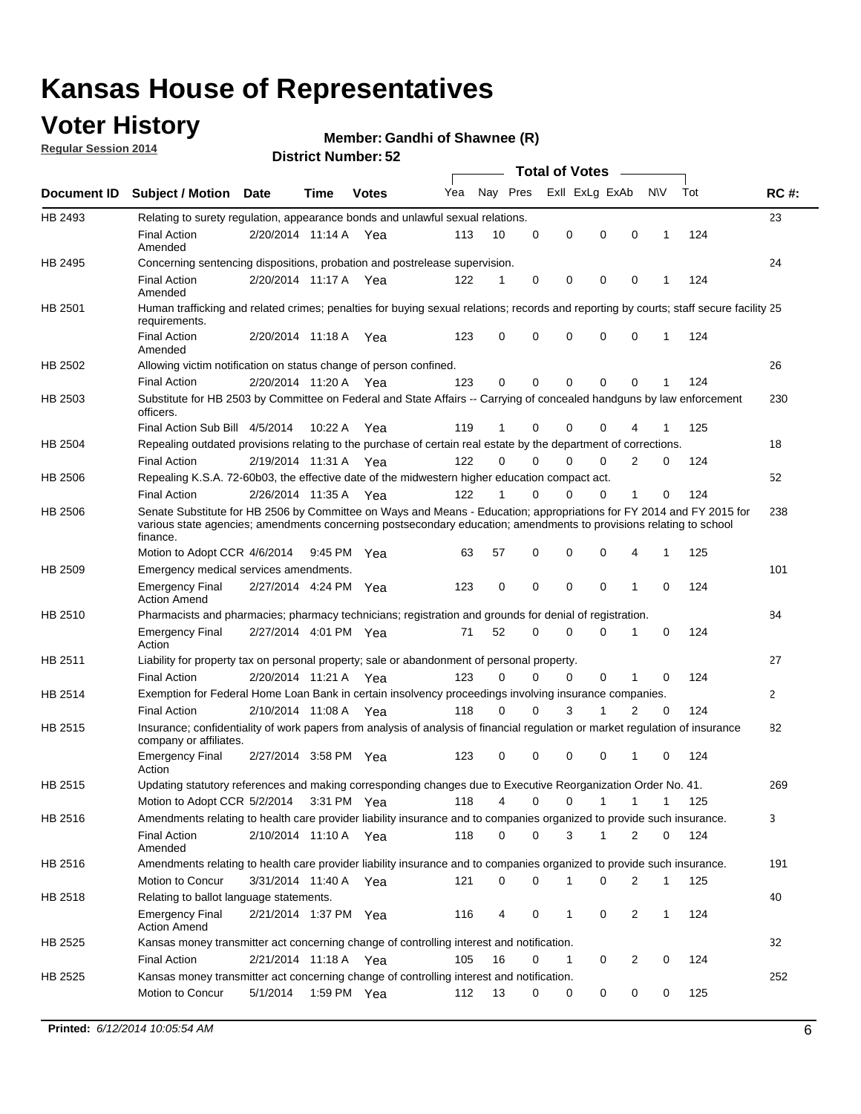### **Voter History**

**Regular Session 2014**

#### **Member: Gandhi of Shawnee (R)**

|                    |                                                                                                                                                                                                                                                        |                       |             |              |     |          |          | <b>Total of Votes</b> |              |                |              |     |              |
|--------------------|--------------------------------------------------------------------------------------------------------------------------------------------------------------------------------------------------------------------------------------------------------|-----------------------|-------------|--------------|-----|----------|----------|-----------------------|--------------|----------------|--------------|-----|--------------|
| <b>Document ID</b> | <b>Subject / Motion Date</b>                                                                                                                                                                                                                           |                       | Time        | <b>Votes</b> | Yea | Nay Pres |          | Exll ExLg ExAb        |              |                | <b>NV</b>    | Tot | <b>RC#:</b>  |
| HB 2493            | Relating to surety regulation, appearance bonds and unlawful sexual relations.                                                                                                                                                                         |                       |             |              |     |          |          |                       |              |                |              |     | 23           |
|                    | <b>Final Action</b><br>Amended                                                                                                                                                                                                                         | 2/20/2014 11:14 A     |             | Yea          | 113 | 10       | 0        | 0                     | $\mathbf 0$  | 0              | $\mathbf 1$  | 124 |              |
| HB 2495            | Concerning sentencing dispositions, probation and postrelease supervision.                                                                                                                                                                             |                       |             |              |     |          |          |                       |              |                |              |     | 24           |
|                    | <b>Final Action</b><br>Amended                                                                                                                                                                                                                         | 2/20/2014 11:17 A Yea |             |              | 122 | 1        | 0        | 0                     | $\mathbf 0$  | $\mathbf 0$    | -1           | 124 |              |
| HB 2501            | Human trafficking and related crimes; penalties for buying sexual relations; records and reporting by courts; staff secure facility 25<br>requirements.                                                                                                |                       |             |              |     |          |          |                       |              |                |              |     |              |
|                    | <b>Final Action</b><br>Amended                                                                                                                                                                                                                         | 2/20/2014 11:18 A Yea |             |              | 123 | $\Omega$ | 0        | 0                     | $\Omega$     | $\mathbf 0$    | 1            | 124 |              |
| HB 2502            | Allowing victim notification on status change of person confined.                                                                                                                                                                                      |                       |             |              |     |          |          |                       |              |                |              |     | 26           |
|                    | <b>Final Action</b>                                                                                                                                                                                                                                    | 2/20/2014 11:20 A Yea |             |              | 123 | $\Omega$ | 0        | $\mathbf{0}$          | $\Omega$     | $\Omega$       |              | 124 |              |
| HB 2503            | Substitute for HB 2503 by Committee on Federal and State Affairs -- Carrying of concealed handguns by law enforcement<br>officers.                                                                                                                     |                       |             |              |     |          |          |                       |              |                |              |     | 230          |
|                    | Final Action Sub Bill 4/5/2014                                                                                                                                                                                                                         |                       | 10:22 A     | Yea          | 119 |          | 0        | 0                     | 0            | 4              |              | 125 |              |
| HB 2504            | Repealing outdated provisions relating to the purchase of certain real estate by the department of corrections.                                                                                                                                        |                       |             |              |     |          |          |                       |              |                |              |     | 18           |
|                    | <b>Final Action</b>                                                                                                                                                                                                                                    | 2/19/2014 11:31 A Yea |             |              | 122 | $\Omega$ | $\Omega$ | 0                     | $\mathbf{0}$ | $\overline{2}$ | 0            | 124 |              |
| HB 2506            | Repealing K.S.A. 72-60b03, the effective date of the midwestern higher education compact act.                                                                                                                                                          |                       |             |              |     |          |          |                       |              |                |              |     | 52           |
|                    | <b>Final Action</b>                                                                                                                                                                                                                                    | 2/26/2014 11:35 A Yea |             |              | 122 |          | $\Omega$ | 0                     | 0            | 1              | 0            | 124 |              |
| HB 2506            | Senate Substitute for HB 2506 by Committee on Ways and Means - Education; appropriations for FY 2014 and FY 2015 for<br>various state agencies; amendments concerning postsecondary education; amendments to provisions relating to school<br>finance. |                       |             |              |     |          |          |                       |              |                |              |     | 238          |
|                    | Motion to Adopt CCR 4/6/2014                                                                                                                                                                                                                           |                       | 9:45 PM Yea |              | 63  | 57       | 0        | 0                     | 0            | 4              | -1           | 125 |              |
| HB 2509            | Emergency medical services amendments.                                                                                                                                                                                                                 |                       |             |              |     |          |          |                       |              |                |              |     | 101          |
|                    | Emergency Final<br><b>Action Amend</b>                                                                                                                                                                                                                 | 2/27/2014 4:24 PM Yea |             |              | 123 | 0        | 0        | $\mathbf 0$           | 0            | 1              | 0            | 124 |              |
| HB 2510            | Pharmacists and pharmacies; pharmacy technicians; registration and grounds for denial of registration.                                                                                                                                                 |                       |             |              |     |          |          |                       |              |                |              |     | 84           |
|                    | <b>Emergency Final</b><br>Action                                                                                                                                                                                                                       | 2/27/2014 4:01 PM Yea |             |              | 71  | 52       | 0        | 0                     | 0            | 1              | 0            | 124 |              |
| HB 2511            | Liability for property tax on personal property; sale or abandonment of personal property.                                                                                                                                                             |                       |             |              |     |          |          |                       |              |                |              |     | 27           |
|                    | <b>Final Action</b>                                                                                                                                                                                                                                    | 2/20/2014 11:21 A     |             | Yea          | 123 | $\Omega$ | $\Omega$ | 0                     | 0            | 1              | 0            | 124 |              |
| HB 2514            | Exemption for Federal Home Loan Bank in certain insolvency proceedings involving insurance companies.                                                                                                                                                  |                       |             |              |     |          |          |                       |              |                |              |     | $\mathbf{2}$ |
|                    | <b>Final Action</b>                                                                                                                                                                                                                                    | 2/10/2014 11:08 A     |             | Yea          | 118 | $\Omega$ | $\Omega$ | 3                     | 1            | 2              | $\mathbf 0$  | 124 |              |
| HB 2515            | Insurance; confidentiality of work papers from analysis of analysis of financial regulation or market regulation of insurance<br>company or affiliates.                                                                                                |                       |             |              |     |          |          |                       |              |                |              |     | 82           |
|                    | <b>Emergency Final</b><br>Action                                                                                                                                                                                                                       | 2/27/2014 3:58 PM Yea |             |              | 123 | 0        | 0        | 0                     | 0            | 1              | 0            | 124 |              |
| HB 2515            | Updating statutory references and making corresponding changes due to Executive Reorganization Order No. 41.                                                                                                                                           |                       |             |              |     |          |          |                       |              |                |              |     | 269          |
|                    | Motion to Adopt CCR 5/2/2014 3:31 PM Yea                                                                                                                                                                                                               |                       |             |              | 118 | 4        | 0        | 0                     | $\mathbf{1}$ | $\mathbf{1}$   | $\mathbf{1}$ | 125 |              |
| HB 2516            | Amendments relating to health care provider liability insurance and to companies organized to provide such insurance.                                                                                                                                  |                       |             |              |     |          |          |                       |              |                |              |     | 3            |
|                    | <b>Final Action</b><br>Amended                                                                                                                                                                                                                         | 2/10/2014 11:10 A Yea |             |              | 118 | 0        | 0        | 3                     | 1            | 2              | 0            | 124 |              |
| HB 2516            | Amendments relating to health care provider liability insurance and to companies organized to provide such insurance.                                                                                                                                  |                       |             |              |     |          |          |                       |              |                |              |     | 191          |
|                    | Motion to Concur                                                                                                                                                                                                                                       | 3/31/2014 11:40 A Yea |             |              | 121 | 0        | 0        | 1                     | 0            | 2              | $\mathbf{1}$ | 125 |              |
| HB 2518            | Relating to ballot language statements.                                                                                                                                                                                                                |                       |             |              |     |          |          |                       |              |                |              |     | 40           |
|                    | Emergency Final<br><b>Action Amend</b>                                                                                                                                                                                                                 | 2/21/2014 1:37 PM Yea |             |              | 116 | 4        | 0        | 1                     | 0            | 2              | 1            | 124 |              |
| HB 2525            | Kansas money transmitter act concerning change of controlling interest and notification.                                                                                                                                                               |                       |             |              |     |          |          |                       |              |                |              |     | 32           |
|                    | <b>Final Action</b>                                                                                                                                                                                                                                    | 2/21/2014 11:18 A Yea |             |              | 105 | 16       | 0        | $\mathbf{1}$          | 0            | 2              | 0            | 124 |              |
| HB 2525            | Kansas money transmitter act concerning change of controlling interest and notification.<br>Motion to Concur                                                                                                                                           | 5/1/2014              |             | 1:59 PM Yea  | 112 | 13       | 0        | 0                     | 0            | 0              | 0            | 125 | 252          |
|                    |                                                                                                                                                                                                                                                        |                       |             |              |     |          |          |                       |              |                |              |     |              |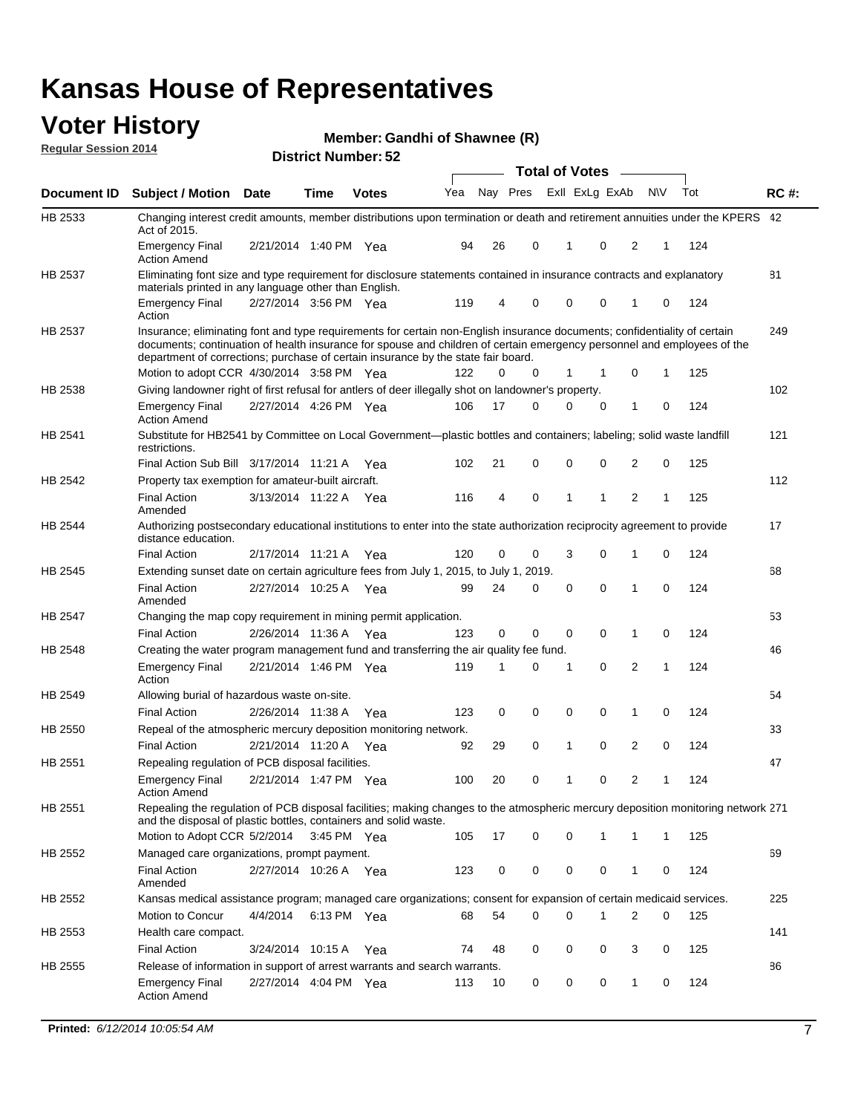#### **Voter History Regular Session 2014**

|  |  | Member: Gandhi of Shawnee (R) |  |
|--|--|-------------------------------|--|
|--|--|-------------------------------|--|

|                |                                                                                                                                                                                                                                                                                                                                           |                       |             | <b>DISUILLINUIIIIDEI.JZ</b> |     |    |                         | <b>Total of Votes</b> |              |              |          |     |             |
|----------------|-------------------------------------------------------------------------------------------------------------------------------------------------------------------------------------------------------------------------------------------------------------------------------------------------------------------------------------------|-----------------------|-------------|-----------------------------|-----|----|-------------------------|-----------------------|--------------|--------------|----------|-----|-------------|
| Document ID    | <b>Subject / Motion Date</b>                                                                                                                                                                                                                                                                                                              |                       | Time        | <b>Votes</b>                | Yea |    | Nay Pres Exll ExLg ExAb |                       |              | N\V          |          | Tot | <b>RC#:</b> |
| HB 2533        | Changing interest credit amounts, member distributions upon termination or death and retirement annuities under the KPERS 42<br>Act of 2015.                                                                                                                                                                                              |                       |             |                             |     |    |                         |                       |              |              |          |     |             |
|                | <b>Emergency Final</b><br><b>Action Amend</b>                                                                                                                                                                                                                                                                                             | 2/21/2014 1:40 PM Yea |             |                             | 94  | 26 | 0                       | 1                     | 0            | 2            | 1        | 124 |             |
| HB 2537        | Eliminating font size and type requirement for disclosure statements contained in insurance contracts and explanatory<br>materials printed in any language other than English.                                                                                                                                                            |                       |             |                             |     |    |                         |                       |              |              |          |     | 81          |
|                | <b>Emergency Final</b><br>Action                                                                                                                                                                                                                                                                                                          | 2/27/2014 3:56 PM Yea |             |                             | 119 | 4  | 0                       | 0                     | 0            | 1            | 0        | 124 |             |
| HB 2537        | Insurance; eliminating font and type requirements for certain non-English insurance documents; confidentiality of certain<br>documents; continuation of health insurance for spouse and children of certain emergency personnel and employees of the<br>department of corrections; purchase of certain insurance by the state fair board. |                       |             |                             |     |    |                         |                       |              |              |          |     | 249         |
|                | Motion to adopt CCR 4/30/2014 3:58 PM Yea                                                                                                                                                                                                                                                                                                 |                       |             |                             | 122 | 0  | 0                       | 1                     | -1           | 0            | 1        | 125 |             |
| HB 2538        | Giving landowner right of first refusal for antlers of deer illegally shot on landowner's property.                                                                                                                                                                                                                                       |                       |             |                             |     |    |                         |                       |              |              |          |     | 102         |
|                | <b>Emergency Final</b><br><b>Action Amend</b>                                                                                                                                                                                                                                                                                             | 2/27/2014 4:26 PM Yea |             |                             | 106 | 17 | 0                       | 0                     | 0            | 1            | 0        | 124 |             |
| HB 2541        | Substitute for HB2541 by Committee on Local Government—plastic bottles and containers; labeling; solid waste landfill<br>restrictions.                                                                                                                                                                                                    |                       |             |                             |     |    |                         |                       |              |              |          |     | 121         |
|                | Final Action Sub Bill 3/17/2014 11:21 A Yea                                                                                                                                                                                                                                                                                               |                       |             |                             | 102 | 21 | 0                       | $\mathbf 0$           | 0            | 2            | 0        | 125 |             |
| HB 2542        | Property tax exemption for amateur-built aircraft.<br><b>Final Action</b>                                                                                                                                                                                                                                                                 | 3/13/2014 11:22 A Yea |             |                             | 116 | 4  | 0                       | 1                     | $\mathbf{1}$ | 2            | 1        | 125 | 112         |
| HB 2544        | Amended<br>Authorizing postsecondary educational institutions to enter into the state authorization reciprocity agreement to provide<br>distance education.                                                                                                                                                                               |                       |             |                             |     |    |                         |                       |              |              |          |     | 17          |
|                | <b>Final Action</b>                                                                                                                                                                                                                                                                                                                       | 2/17/2014 11:21 A Yea |             |                             | 120 | 0  | 0                       | 3                     | 0            | 1            | 0        | 124 |             |
| HB 2545        | Extending sunset date on certain agriculture fees from July 1, 2015, to July 1, 2019.                                                                                                                                                                                                                                                     |                       |             |                             |     |    |                         |                       |              |              |          |     | 68          |
|                | <b>Final Action</b><br>Amended                                                                                                                                                                                                                                                                                                            | 2/27/2014 10:25 A Yea |             |                             | 99  | 24 | 0                       | $\mathbf 0$           | $\Omega$     | 1            | $\Omega$ | 124 |             |
| <b>HB 2547</b> | Changing the map copy requirement in mining permit application.                                                                                                                                                                                                                                                                           |                       |             |                             |     |    |                         |                       |              |              |          |     | 53          |
|                | <b>Final Action</b>                                                                                                                                                                                                                                                                                                                       | 2/26/2014 11:36 A     |             | Yea                         | 123 | 0  | 0                       | 0                     | 0            | 1            | 0        | 124 |             |
| HB 2548        | Creating the water program management fund and transferring the air quality fee fund.                                                                                                                                                                                                                                                     |                       |             |                             |     |    |                         |                       |              |              |          |     | 46          |
|                | <b>Emergency Final</b><br>Action                                                                                                                                                                                                                                                                                                          | 2/21/2014 1:46 PM Yea |             |                             | 119 | 1  | 0                       | 1                     | 0            | 2            | 1        | 124 |             |
| HB 2549        | Allowing burial of hazardous waste on-site.                                                                                                                                                                                                                                                                                               |                       |             |                             |     |    |                         |                       |              |              |          |     | 54          |
|                | <b>Final Action</b>                                                                                                                                                                                                                                                                                                                       | 2/26/2014 11:38 A     |             | Yea                         | 123 | 0  | 0                       | 0                     | 0            | 1            | 0        | 124 |             |
| HB 2550        | Repeal of the atmospheric mercury deposition monitoring network.                                                                                                                                                                                                                                                                          |                       |             |                             |     |    |                         |                       |              |              |          |     | 33          |
|                | <b>Final Action</b>                                                                                                                                                                                                                                                                                                                       | 2/21/2014 11:20 A Yea |             |                             | 92  | 29 | 0                       | 1                     | 0            | 2            | 0        | 124 |             |
| HB 2551        | Repealing regulation of PCB disposal facilities.                                                                                                                                                                                                                                                                                          |                       |             |                             |     |    |                         |                       |              |              |          |     | 47          |
|                | <b>Emergency Final</b><br>Action Amend                                                                                                                                                                                                                                                                                                    | 2/21/2014 1:47 PM Yea |             |                             | 100 | 20 | 0                       | 1                     | 0            | 2            | 1        | 124 |             |
| HB 2551        | Repealing the regulation of PCB disposal facilities; making changes to the atmospheric mercury deposition monitoring network 271<br>and the disposal of plastic bottles, containers and solid waste.                                                                                                                                      |                       |             |                             |     |    |                         |                       |              |              |          |     |             |
|                | Motion to Adopt CCR 5/2/2014                                                                                                                                                                                                                                                                                                              |                       | 3:45 PM Yea |                             | 105 | 17 | 0                       | $\mathbf 0$           | 1            | 1            | 1        | 125 |             |
| HB 2552        | Managed care organizations, prompt payment.                                                                                                                                                                                                                                                                                               |                       |             |                             |     |    |                         |                       |              |              |          |     | 69          |
|                | <b>Final Action</b><br>Amended                                                                                                                                                                                                                                                                                                            | 2/27/2014 10:26 A Yea |             |                             | 123 | 0  | 0                       | 0                     | 0            | 1            | 0        | 124 |             |
| HB 2552        | Kansas medical assistance program; managed care organizations; consent for expansion of certain medicaid services.                                                                                                                                                                                                                        |                       |             |                             |     |    |                         |                       |              |              |          |     | 225         |
|                | Motion to Concur                                                                                                                                                                                                                                                                                                                          | 4/4/2014              | 6:13 PM Yea |                             | 68  | 54 | 0                       | $\mathbf 0$           | 1            | 2            | 0        | 125 |             |
| HB 2553        | Health care compact.                                                                                                                                                                                                                                                                                                                      |                       |             |                             |     |    |                         |                       |              |              |          |     | 141         |
|                | <b>Final Action</b>                                                                                                                                                                                                                                                                                                                       | 3/24/2014 10:15 A Yea |             |                             | 74  | 48 | 0                       | 0                     | 0            | 3            | 0        | 125 |             |
| HB 2555        | Release of information in support of arrest warrants and search warrants.                                                                                                                                                                                                                                                                 |                       |             |                             |     |    |                         |                       |              |              |          |     | 86          |
|                | <b>Emergency Final</b><br><b>Action Amend</b>                                                                                                                                                                                                                                                                                             | 2/27/2014 4:04 PM Yea |             |                             | 113 | 10 | 0                       | 0                     | 0            | $\mathbf{1}$ | 0        | 124 |             |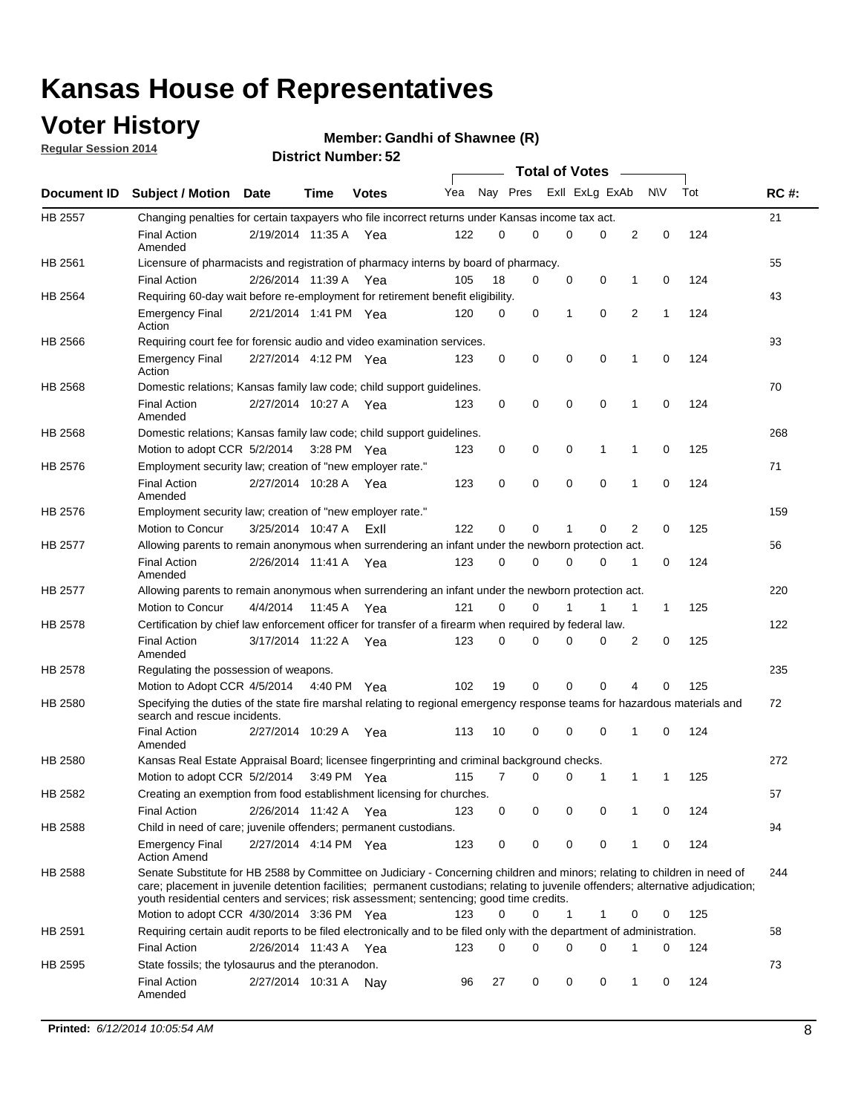### **Voter History**

**Regular Session 2014**

#### **Member: Gandhi of Shawnee (R)**

|                |                                                                                                                                                                                                                                                                                                                                                           |                       |             |              |     |          |   | <b>Total of Votes</b> |             |              |             |     |             |
|----------------|-----------------------------------------------------------------------------------------------------------------------------------------------------------------------------------------------------------------------------------------------------------------------------------------------------------------------------------------------------------|-----------------------|-------------|--------------|-----|----------|---|-----------------------|-------------|--------------|-------------|-----|-------------|
|                | Document ID Subject / Motion Date                                                                                                                                                                                                                                                                                                                         |                       | Time        | <b>Votes</b> | Yea | Nay Pres |   | Exll ExLg ExAb        |             |              | N\V         | Tot | <b>RC#:</b> |
| <b>HB 2557</b> | Changing penalties for certain taxpayers who file incorrect returns under Kansas income tax act.                                                                                                                                                                                                                                                          |                       |             |              |     |          |   |                       |             |              |             |     | 21          |
|                | <b>Final Action</b><br>Amended                                                                                                                                                                                                                                                                                                                            | 2/19/2014 11:35 A     |             | Yea          | 122 | 0        | 0 | 0                     | 0           | 2            | $\mathbf 0$ | 124 |             |
| HB 2561        | Licensure of pharmacists and registration of pharmacy interns by board of pharmacy.                                                                                                                                                                                                                                                                       |                       |             |              |     |          |   |                       |             |              |             |     | 55          |
|                | <b>Final Action</b>                                                                                                                                                                                                                                                                                                                                       | 2/26/2014 11:39 A Yea |             |              | 105 | 18       | 0 | 0                     | 0           | 1            | 0           | 124 |             |
| HB 2564        | Requiring 60-day wait before re-employment for retirement benefit eligibility.                                                                                                                                                                                                                                                                            |                       |             |              |     |          |   |                       |             |              |             |     | 43          |
|                | <b>Emergency Final</b><br>Action                                                                                                                                                                                                                                                                                                                          | 2/21/2014 1:41 PM Yea |             |              | 120 | 0        | 0 | 1                     | 0           | 2            | 1           | 124 |             |
| HB 2566        | Requiring court fee for forensic audio and video examination services.                                                                                                                                                                                                                                                                                    |                       |             |              |     |          |   |                       |             |              |             |     | 93          |
|                | <b>Emergency Final</b><br>Action                                                                                                                                                                                                                                                                                                                          | 2/27/2014 4:12 PM Yea |             |              | 123 | 0        | 0 | 0                     | $\mathbf 0$ | $\mathbf{1}$ | 0           | 124 |             |
| HB 2568        | Domestic relations; Kansas family law code; child support guidelines.                                                                                                                                                                                                                                                                                     |                       |             |              |     |          |   |                       |             |              |             |     | 70          |
|                | <b>Final Action</b><br>Amended                                                                                                                                                                                                                                                                                                                            | 2/27/2014 10:27 A     |             | Yea          | 123 | 0        | 0 | 0                     | $\mathbf 0$ | 1            | 0           | 124 |             |
| HB 2568        | Domestic relations; Kansas family law code; child support guidelines.                                                                                                                                                                                                                                                                                     |                       |             |              |     |          |   |                       |             |              |             |     | 268         |
|                | Motion to adopt CCR 5/2/2014                                                                                                                                                                                                                                                                                                                              |                       | 3:28 PM Yea |              | 123 | 0        | 0 | 0                     | 1           | 1            | $\mathbf 0$ | 125 |             |
| HB 2576        | Employment security law; creation of "new employer rate."                                                                                                                                                                                                                                                                                                 |                       |             |              |     |          |   |                       |             |              |             |     | 71          |
|                | <b>Final Action</b><br>Amended                                                                                                                                                                                                                                                                                                                            | 2/27/2014 10:28 A     |             | Yea          | 123 | 0        | 0 | 0                     | 0           | 1            | 0           | 124 |             |
| HB 2576        | Employment security law; creation of "new employer rate."                                                                                                                                                                                                                                                                                                 |                       |             |              |     |          |   |                       |             |              |             |     | 159         |
|                | Motion to Concur                                                                                                                                                                                                                                                                                                                                          | 3/25/2014 10:47 A     |             | ExII         | 122 | 0        | 0 | 1                     | 0           | 2            | 0           | 125 |             |
| HB 2577        | Allowing parents to remain anonymous when surrendering an infant under the newborn protection act.                                                                                                                                                                                                                                                        |                       |             |              |     |          |   |                       |             |              |             |     | 56          |
|                | <b>Final Action</b><br>Amended                                                                                                                                                                                                                                                                                                                            | 2/26/2014 11:41 A Yea |             |              | 123 | $\Omega$ | 0 | 0                     | $\Omega$    | 1            | 0           | 124 |             |
| HB 2577        | Allowing parents to remain anonymous when surrendering an infant under the newborn protection act.                                                                                                                                                                                                                                                        |                       |             |              |     |          |   |                       |             |              |             |     | 220         |
|                | Motion to Concur                                                                                                                                                                                                                                                                                                                                          | 4/4/2014              | 11:45 A     | Yea          | 121 | $\Omega$ | 0 | 1                     | 1           | 1            | 1           | 125 |             |
| HB 2578        | Certification by chief law enforcement officer for transfer of a firearm when required by federal law.                                                                                                                                                                                                                                                    |                       |             |              |     |          |   |                       |             |              |             |     | 122         |
|                | <b>Final Action</b><br>Amended                                                                                                                                                                                                                                                                                                                            | 3/17/2014 11:22 A     |             | Yea          | 123 | 0        | 0 | 0                     | 0           | 2            | 0           | 125 |             |
| HB 2578        | Regulating the possession of weapons.                                                                                                                                                                                                                                                                                                                     |                       |             |              |     |          |   |                       |             |              |             |     | 235         |
|                | Motion to Adopt CCR 4/5/2014 4:40 PM Yea                                                                                                                                                                                                                                                                                                                  |                       |             |              | 102 | 19       | 0 | 0                     | 0           | 4            | 0           | 125 |             |
| HB 2580        | Specifying the duties of the state fire marshal relating to regional emergency response teams for hazardous materials and<br>search and rescue incidents.                                                                                                                                                                                                 |                       |             |              |     |          |   |                       |             |              |             |     | 72          |
|                | <b>Final Action</b><br>Amended                                                                                                                                                                                                                                                                                                                            | 2/27/2014 10:29 A     |             | Yea          | 113 | 10       | 0 | 0                     | $\mathbf 0$ | 1            | 0           | 124 |             |
| HB 2580        | Kansas Real Estate Appraisal Board; licensee fingerprinting and criminal background checks.                                                                                                                                                                                                                                                               |                       |             |              |     |          |   |                       |             |              |             |     | 272         |
|                | Motion to adopt CCR 5/2/2014                                                                                                                                                                                                                                                                                                                              |                       | 3:49 PM Yea |              | 115 | 7        | 0 | 0                     | 1           | 1            | 1           | 125 |             |
| HB 2582        | Creating an exemption from food establishment licensing for churches.                                                                                                                                                                                                                                                                                     |                       |             |              |     |          |   |                       |             |              |             |     | 57          |
|                | <b>Final Action</b>                                                                                                                                                                                                                                                                                                                                       | 2/26/2014 11:42 A Yea |             |              | 123 | 0        | 0 | 0                     | 0           |              | 0           | 124 |             |
| HB 2588        | Child in need of care; juvenile offenders; permanent custodians.                                                                                                                                                                                                                                                                                          |                       |             |              |     |          |   |                       |             |              |             |     | 94          |
|                | <b>Emergency Final</b><br><b>Action Amend</b>                                                                                                                                                                                                                                                                                                             | 2/27/2014 4:14 PM Yea |             |              | 123 | 0        | 0 | 0                     | 0           | 1            | 0           | 124 |             |
| HB 2588        | Senate Substitute for HB 2588 by Committee on Judiciary - Concerning children and minors; relating to children in need of<br>care; placement in juvenile detention facilities; permanent custodians; relating to juvenile offenders; alternative adjudication;<br>youth residential centers and services; risk assessment; sentencing; good time credits. |                       |             |              |     |          |   |                       |             |              |             |     | 244         |
|                | Motion to adopt CCR 4/30/2014 3:36 PM Yea                                                                                                                                                                                                                                                                                                                 |                       |             |              | 123 | 0        | 0 | 1                     | 1           | 0            | 0           | 125 |             |
| HB 2591        | Requiring certain audit reports to be filed electronically and to be filed only with the department of administration.                                                                                                                                                                                                                                    |                       |             |              |     |          |   |                       |             |              |             |     | 58          |
|                | <b>Final Action</b>                                                                                                                                                                                                                                                                                                                                       | 2/26/2014 11:43 A Yea |             |              | 123 | 0        | 0 | 0                     | 0           | 1            | 0           | 124 |             |
| HB 2595        | State fossils; the tylosaurus and the pteranodon.                                                                                                                                                                                                                                                                                                         |                       |             |              |     |          |   |                       |             |              |             |     | 73          |
|                | <b>Final Action</b><br>Amended                                                                                                                                                                                                                                                                                                                            | 2/27/2014 10:31 A Nay |             |              | 96  | 27       | 0 | 0                     | 0           | 1            | 0           | 124 |             |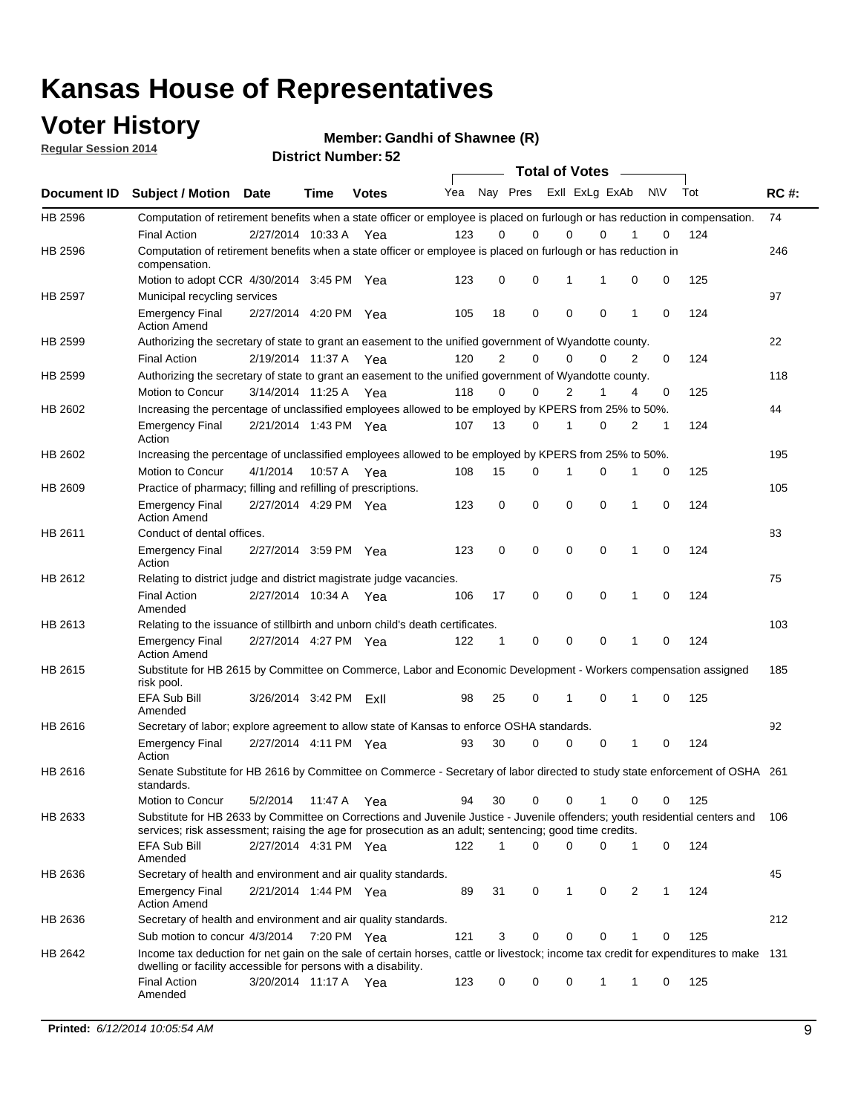### **Voter History**

**Regular Session 2014**

**Member: Gandhi of Shawnee (R)** 

|             |                                                                                                                                                                                                                                       | 1901 IVI MUITINGI . JZ | <b>Total of Votes</b> |              |     |                |             |                |                         |   |           |     |             |
|-------------|---------------------------------------------------------------------------------------------------------------------------------------------------------------------------------------------------------------------------------------|------------------------|-----------------------|--------------|-----|----------------|-------------|----------------|-------------------------|---|-----------|-----|-------------|
| Document ID | <b>Subject / Motion Date</b>                                                                                                                                                                                                          |                        | Time                  | <b>Votes</b> | Yea |                |             |                | Nay Pres ExII ExLg ExAb |   | <b>NV</b> | Tot | <b>RC#:</b> |
| HB 2596     | Computation of retirement benefits when a state officer or employee is placed on furlough or has reduction in compensation.                                                                                                           |                        |                       |              |     |                |             |                |                         |   |           |     | 74          |
|             | <b>Final Action</b>                                                                                                                                                                                                                   | 2/27/2014 10:33 A      |                       | Yea          | 123 | 0              | $\Omega$    | 0              | 0                       |   | 0         | 124 |             |
| HB 2596     | Computation of retirement benefits when a state officer or employee is placed on furlough or has reduction in<br>compensation.                                                                                                        |                        |                       |              |     |                |             |                |                         |   |           |     | 246         |
|             | Motion to adopt CCR 4/30/2014 3:45 PM Yea                                                                                                                                                                                             |                        |                       |              | 123 | 0              | $\mathbf 0$ | 1              | 1                       | 0 | 0         | 125 |             |
| HB 2597     | Municipal recycling services                                                                                                                                                                                                          |                        |                       |              |     |                |             |                |                         |   |           |     | 97          |
|             | <b>Emergency Final</b><br><b>Action Amend</b>                                                                                                                                                                                         | 2/27/2014 4:20 PM Yea  |                       |              | 105 | 18             | $\mathbf 0$ | $\mathbf 0$    | $\mathbf 0$             | 1 | 0         | 124 |             |
| HB 2599     | Authorizing the secretary of state to grant an easement to the unified government of Wyandotte county.                                                                                                                                |                        |                       |              |     |                |             |                |                         |   |           |     | 22          |
|             | <b>Final Action</b>                                                                                                                                                                                                                   | 2/19/2014 11:37 A Yea  |                       |              | 120 | $\overline{2}$ | 0           | $\mathbf 0$    | 0                       | 2 | 0         | 124 |             |
| HB 2599     | Authorizing the secretary of state to grant an easement to the unified government of Wyandotte county.                                                                                                                                |                        |                       |              |     |                |             |                |                         |   |           |     | 118         |
|             | Motion to Concur                                                                                                                                                                                                                      | 3/14/2014 11:25 A Yea  |                       |              | 118 | 0              | 0           | $\overline{2}$ | 1                       | 4 | 0         | 125 |             |
| HB 2602     | Increasing the percentage of unclassified employees allowed to be employed by KPERS from 25% to 50%.                                                                                                                                  |                        |                       |              |     |                |             |                |                         |   |           |     | 44          |
|             | <b>Emergency Final</b><br>Action                                                                                                                                                                                                      | 2/21/2014 1:43 PM Yea  |                       |              | 107 | 13             | 0           | 1              | 0                       | 2 | 1         | 124 |             |
| HB 2602     | Increasing the percentage of unclassified employees allowed to be employed by KPERS from 25% to 50%.                                                                                                                                  |                        |                       |              |     |                |             |                |                         |   |           |     | 195         |
|             | Motion to Concur                                                                                                                                                                                                                      | 4/1/2014               | 10:57 A               | Yea          | 108 | 15             | 0           | 1              | 0                       |   | 0         | 125 |             |
| HB 2609     | Practice of pharmacy; filling and refilling of prescriptions.                                                                                                                                                                         |                        |                       |              |     |                |             |                |                         |   |           |     | 105         |
|             | <b>Emergency Final</b><br><b>Action Amend</b>                                                                                                                                                                                         | 2/27/2014 4:29 PM Yea  |                       |              | 123 | 0              | $\mathbf 0$ | $\mathbf 0$    | $\mathbf 0$             | 1 | 0         | 124 |             |
| HB 2611     | Conduct of dental offices.                                                                                                                                                                                                            |                        |                       |              |     |                |             |                |                         |   |           |     | 83          |
|             | <b>Emergency Final</b><br>Action                                                                                                                                                                                                      | 2/27/2014 3:59 PM Yea  |                       |              | 123 | 0              | $\mathbf 0$ | $\mathbf 0$    | $\mathbf 0$             | 1 | 0         | 124 |             |
| HB 2612     | Relating to district judge and district magistrate judge vacancies.                                                                                                                                                                   |                        |                       |              |     |                |             |                |                         |   |           |     | 75          |
|             | <b>Final Action</b><br>Amended                                                                                                                                                                                                        | 2/27/2014 10:34 A      |                       | Yea          | 106 | 17             | $\mathbf 0$ | $\mathbf 0$    | $\mathbf 0$             | 1 | 0         | 124 |             |
| HB 2613     | Relating to the issuance of stillbirth and unborn child's death certificates.                                                                                                                                                         |                        |                       |              |     |                |             |                |                         |   |           |     | 103         |
|             | <b>Emergency Final</b><br><b>Action Amend</b>                                                                                                                                                                                         | 2/27/2014 4:27 PM Yea  |                       |              | 122 | 1              | 0           | $\mathbf 0$    | $\Omega$                | 1 | 0         | 124 |             |
| HB 2615     | Substitute for HB 2615 by Committee on Commerce, Labor and Economic Development - Workers compensation assigned<br>risk pool.                                                                                                         |                        |                       |              |     |                |             |                |                         |   |           |     | 185         |
|             | EFA Sub Bill<br>Amended                                                                                                                                                                                                               | 3/26/2014 3:42 PM      |                       | ExII         | 98  | 25             | 0           | 1              | 0                       | 1 | 0         | 125 |             |
| HB 2616     | Secretary of labor; explore agreement to allow state of Kansas to enforce OSHA standards.                                                                                                                                             |                        |                       |              |     |                |             |                |                         |   |           |     | 92          |
|             | <b>Emergency Final</b><br>Action                                                                                                                                                                                                      | 2/27/2014 4:11 PM Yea  |                       |              | 93  | 30             | 0           | 0              | 0                       | 1 | 0         | 124 |             |
| HB 2616     | Senate Substitute for HB 2616 by Committee on Commerce - Secretary of labor directed to study state enforcement of OSHA 261<br>standards.                                                                                             |                        |                       |              |     |                |             |                |                         |   |           |     |             |
|             | Motion to Concur                                                                                                                                                                                                                      | 5/2/2014               | 11:47 A Yea           |              | 94  | 30             | 0           | 0              | 1                       | 0 | 0         | 125 |             |
| HB 2633     | Substitute for HB 2633 by Committee on Corrections and Juvenile Justice - Juvenile offenders; youth residential centers and<br>services; risk assessment; raising the age for prosecution as an adult; sentencing; good time credits. |                        |                       |              |     |                |             |                |                         |   |           |     | 106         |
|             | EFA Sub Bill<br>Amended                                                                                                                                                                                                               | 2/27/2014 4:31 PM Yea  |                       |              | 122 | 1              | 0           | 0              | 0                       | 1 | 0         | 124 |             |
| HB 2636     | Secretary of health and environment and air quality standards.                                                                                                                                                                        |                        |                       |              |     |                |             |                |                         |   |           |     | 45          |
|             | <b>Emergency Final</b><br><b>Action Amend</b>                                                                                                                                                                                         | 2/21/2014 1:44 PM Yea  |                       |              | 89  | 31             | 0           | 1              | 0                       | 2 | 1         | 124 |             |
| HB 2636     | Secretary of health and environment and air quality standards.                                                                                                                                                                        |                        |                       |              |     |                |             |                |                         |   |           |     | 212         |
|             | Sub motion to concur 4/3/2014                                                                                                                                                                                                         |                        | 7:20 PM Yea           |              | 121 | 3              | 0           | 0              | 0                       | 1 | 0         | 125 |             |
| HB 2642     | Income tax deduction for net gain on the sale of certain horses, cattle or livestock; income tax credit for expenditures to make 131<br>dwelling or facility accessible for persons with a disability.                                |                        |                       |              |     |                |             |                |                         |   |           |     |             |
|             | <b>Final Action</b><br>Amended                                                                                                                                                                                                        | 3/20/2014 11:17 A Yea  |                       |              | 123 | 0              | 0           | 0              | 1                       | 1 | 0         | 125 |             |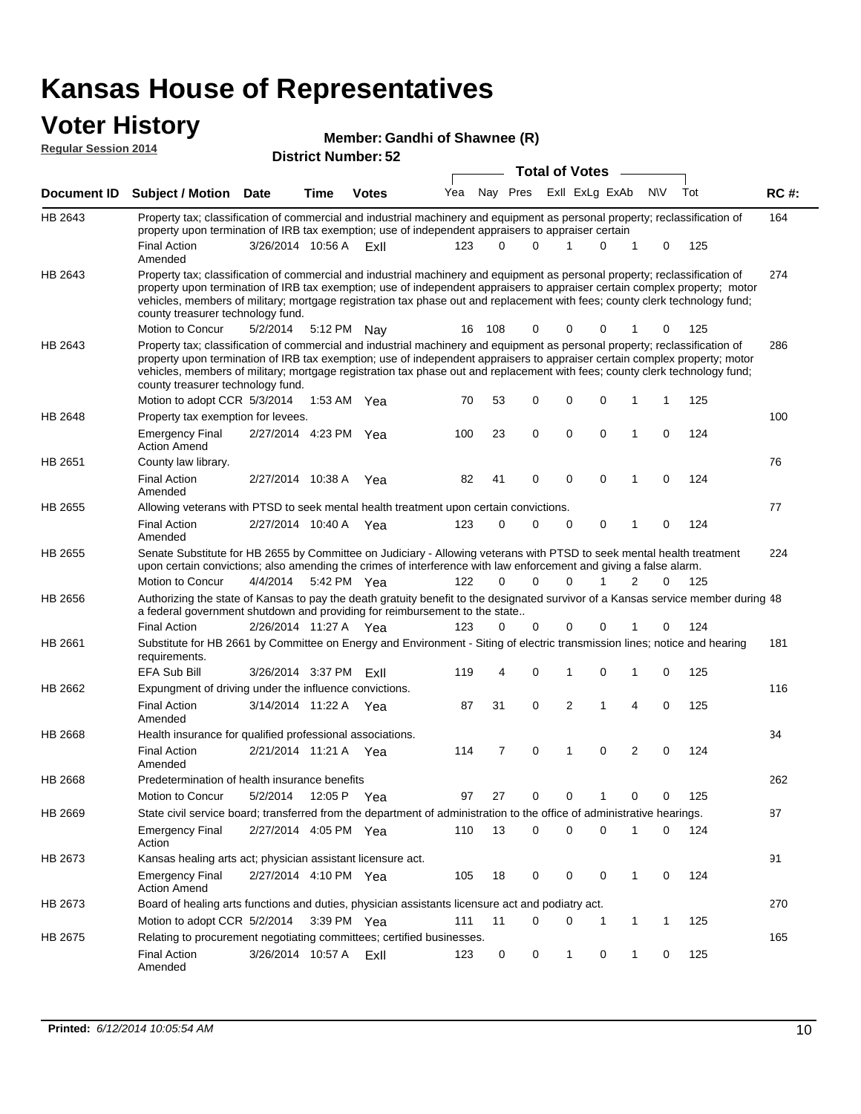#### **Voter History Regular Session 2014**

|                 | Member: Gandhi of Shawnee (R) |  |
|-----------------|-------------------------------|--|
| <b>BUILDING</b> |                               |  |

|             | <b>District Number: 52</b><br><b>Total of Votes</b>                                                                                                                                                                                                                                                                                                                                                                                                           |                       |             |              |     |          |          |                         |             |                |             |     |             |
|-------------|---------------------------------------------------------------------------------------------------------------------------------------------------------------------------------------------------------------------------------------------------------------------------------------------------------------------------------------------------------------------------------------------------------------------------------------------------------------|-----------------------|-------------|--------------|-----|----------|----------|-------------------------|-------------|----------------|-------------|-----|-------------|
|             |                                                                                                                                                                                                                                                                                                                                                                                                                                                               |                       |             |              |     |          |          |                         |             |                |             |     |             |
| Document ID | <b>Subject / Motion Date</b>                                                                                                                                                                                                                                                                                                                                                                                                                                  |                       | <b>Time</b> | <b>Votes</b> | Yea |          |          | Nay Pres ExII ExLg ExAb |             |                | <b>NV</b>   | Tot | <b>RC#:</b> |
| HB 2643     | Property tax; classification of commercial and industrial machinery and equipment as personal property; reclassification of<br>property upon termination of IRB tax exemption; use of independent appraisers to appraiser certain                                                                                                                                                                                                                             |                       |             |              |     |          |          |                         |             |                |             |     | 164         |
|             | <b>Final Action</b><br>Amended                                                                                                                                                                                                                                                                                                                                                                                                                                | 3/26/2014 10:56 A     |             | ExII         | 123 | $\Omega$ | $\Omega$ |                         | $\Omega$    | 1              | 0           | 125 |             |
| HB 2643     | Property tax; classification of commercial and industrial machinery and equipment as personal property; reclassification of<br>property upon termination of IRB tax exemption; use of independent appraisers to appraiser certain complex property; motor<br>vehicles, members of military; mortgage registration tax phase out and replacement with fees; county clerk technology fund;<br>county treasurer technology fund.                                 |                       |             |              |     |          |          |                         |             |                |             |     | 274         |
|             | Motion to Concur                                                                                                                                                                                                                                                                                                                                                                                                                                              | 5/2/2014              | 5:12 PM     | Nav          | 16  | 108      | $\Omega$ | 0                       | 0           | 1              | 0           | 125 |             |
| HB 2643     | Property tax; classification of commercial and industrial machinery and equipment as personal property; reclassification of<br>property upon termination of IRB tax exemption; use of independent appraisers to appraiser certain complex property; motor<br>vehicles, members of military; mortgage registration tax phase out and replacement with fees; county clerk technology fund;<br>county treasurer technology fund.<br>Motion to adopt CCR 5/3/2014 |                       |             |              | 70  | 53       | 0        | $\mathbf 0$             | $\Omega$    | 1              | 1           | 125 | 286         |
|             |                                                                                                                                                                                                                                                                                                                                                                                                                                                               |                       |             | 1:53 AM Yea  |     |          |          |                         |             |                |             |     |             |
| HB 2648     | Property tax exemption for levees.<br><b>Emergency Final</b><br><b>Action Amend</b>                                                                                                                                                                                                                                                                                                                                                                           | 2/27/2014 4:23 PM Yea |             |              | 100 | 23       | 0        | 0                       | $\mathbf 0$ | 1              | 0           | 124 | 100         |
| HB 2651     | County law library.                                                                                                                                                                                                                                                                                                                                                                                                                                           |                       |             |              |     |          |          |                         |             |                |             |     | 76          |
|             | <b>Final Action</b><br>Amended                                                                                                                                                                                                                                                                                                                                                                                                                                | 2/27/2014 10:38 A     |             | Yea          | 82  | 41       | 0        | $\mathbf 0$             | $\mathbf 0$ | 1              | $\mathbf 0$ | 124 |             |
| HB 2655     | Allowing veterans with PTSD to seek mental health treatment upon certain convictions.                                                                                                                                                                                                                                                                                                                                                                         |                       |             |              |     |          |          |                         |             |                |             |     | 77          |
|             | <b>Final Action</b><br>Amended                                                                                                                                                                                                                                                                                                                                                                                                                                | 2/27/2014 10:40 A     |             | Yea          | 123 | 0        | 0        | 0                       | 0           | 1              | 0           | 124 |             |
| HB 2655     | Senate Substitute for HB 2655 by Committee on Judiciary - Allowing veterans with PTSD to seek mental health treatment<br>upon certain convictions; also amending the crimes of interference with law enforcement and giving a false alarm.                                                                                                                                                                                                                    |                       |             |              |     |          |          |                         |             |                |             |     | 224         |
|             | Motion to Concur                                                                                                                                                                                                                                                                                                                                                                                                                                              | 4/4/2014              |             | 5:42 PM Yea  | 122 | 0        | 0        | 0                       | 1           | $\overline{2}$ | 0           | 125 |             |
| HB 2656     | Authorizing the state of Kansas to pay the death gratuity benefit to the designated survivor of a Kansas service member during 48<br>a federal government shutdown and providing for reimbursement to the state                                                                                                                                                                                                                                               |                       |             |              |     |          |          |                         |             |                |             |     |             |
|             | <b>Final Action</b>                                                                                                                                                                                                                                                                                                                                                                                                                                           | 2/26/2014 11:27 A     |             | Yea          | 123 | 0        | 0        | 0                       | $\Omega$    | 1              | 0           | 124 |             |
| HB 2661     | Substitute for HB 2661 by Committee on Energy and Environment - Siting of electric transmission lines; notice and hearing<br>requirements.                                                                                                                                                                                                                                                                                                                    |                       |             |              |     |          |          |                         |             |                |             |     | 181         |
|             | EFA Sub Bill                                                                                                                                                                                                                                                                                                                                                                                                                                                  | 3/26/2014 3:37 PM     |             | ExII         | 119 | 4        | 0        | 1                       | $\Omega$    | 1              | 0           | 125 |             |
| HB 2662     | Expungment of driving under the influence convictions.                                                                                                                                                                                                                                                                                                                                                                                                        |                       |             |              |     |          |          |                         |             |                |             |     | 116         |
|             | <b>Final Action</b><br>Amended                                                                                                                                                                                                                                                                                                                                                                                                                                | 3/14/2014 11:22 A     |             | Yea          | 87  | 31       | 0        | 2                       | 1           | 4              | 0           | 125 |             |
| HB 2668     | Health insurance for qualified professional associations.                                                                                                                                                                                                                                                                                                                                                                                                     |                       |             |              |     |          |          |                         |             |                |             |     | 34          |
|             | <b>Final Action</b><br>Amended                                                                                                                                                                                                                                                                                                                                                                                                                                | 2/21/2014 11:21 A Yea |             |              | 114 | 7        | 0        | 1                       | $\Omega$    | 2              | 0           | 124 |             |
| HB 2668     | Predetermination of health insurance benefits                                                                                                                                                                                                                                                                                                                                                                                                                 |                       |             |              |     |          |          |                         |             |                |             |     | 262         |
|             | Motion to Concur                                                                                                                                                                                                                                                                                                                                                                                                                                              | 5/2/2014              |             | 12:05 P Yea  | 97  | 27       | 0        | 0                       |             | 0              | 0           | 125 |             |
| HB 2669     | State civil service board; transferred from the department of administration to the office of administrative hearings.                                                                                                                                                                                                                                                                                                                                        |                       |             |              |     |          |          |                         |             |                |             |     | 87          |
|             | <b>Emergency Final</b><br>Action                                                                                                                                                                                                                                                                                                                                                                                                                              | 2/27/2014 4:05 PM Yea |             |              | 110 | 13       | 0        | 0                       | $\Omega$    |                | 0           | 124 |             |
| HB 2673     | Kansas healing arts act; physician assistant licensure act.                                                                                                                                                                                                                                                                                                                                                                                                   |                       |             |              |     |          |          |                         |             |                |             |     | 91          |
|             | <b>Emergency Final</b><br><b>Action Amend</b>                                                                                                                                                                                                                                                                                                                                                                                                                 | 2/27/2014 4:10 PM Yea |             |              | 105 | 18       | 0        | 0                       | 0           | 1              | 0           | 124 |             |
| HB 2673     | Board of healing arts functions and duties, physician assistants licensure act and podiatry act.                                                                                                                                                                                                                                                                                                                                                              |                       |             |              |     |          |          |                         |             |                |             |     | 270         |
|             | Motion to adopt CCR 5/2/2014 3:39 PM Yea                                                                                                                                                                                                                                                                                                                                                                                                                      |                       |             |              | 111 | 11       | 0        | 0                       | -1          | 1              | 1           | 125 |             |
| HB 2675     | Relating to procurement negotiating committees; certified businesses.                                                                                                                                                                                                                                                                                                                                                                                         |                       |             |              |     |          |          |                         |             |                |             |     | 165         |
|             | <b>Final Action</b><br>Amended                                                                                                                                                                                                                                                                                                                                                                                                                                | 3/26/2014 10:57 A     |             | ExII         | 123 | 0        | 0        | 1                       | 0           | 1              | 0           | 125 |             |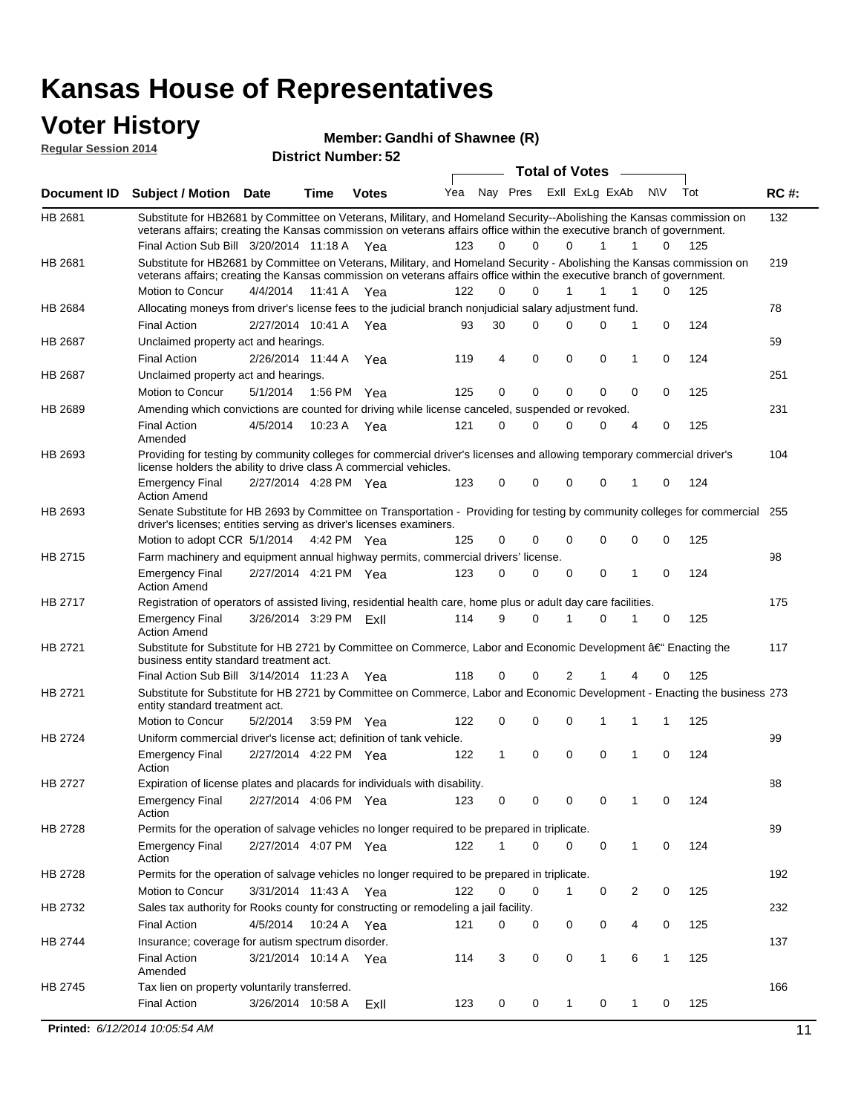### **Voter History**

**Regular Session 2014**

#### **Member: Gandhi of Shawnee (R)**

| noguiai ocoolori zu in | <b>District Number: 52</b>                                                                                                                                                                                                                                          |                                                                                                                                                           |         |              |     |    |          |             |                |             |                |             |     |             |
|------------------------|---------------------------------------------------------------------------------------------------------------------------------------------------------------------------------------------------------------------------------------------------------------------|-----------------------------------------------------------------------------------------------------------------------------------------------------------|---------|--------------|-----|----|----------|-------------|----------------|-------------|----------------|-------------|-----|-------------|
|                        | <b>Total of Votes</b>                                                                                                                                                                                                                                               |                                                                                                                                                           |         |              |     |    |          |             |                |             |                |             |     |             |
| Document ID            | <b>Subject / Motion Date</b>                                                                                                                                                                                                                                        |                                                                                                                                                           | Time    | <b>Votes</b> | Yea |    | Nay Pres |             | Exll ExLg ExAb |             |                | N\V         | Tot | <b>RC#:</b> |
| HB 2681                | Substitute for HB2681 by Committee on Veterans, Military, and Homeland Security--Abolishing the Kansas commission on<br>veterans affairs; creating the Kansas commission on veterans affairs office within the executive branch of government.                      |                                                                                                                                                           |         |              |     |    |          |             |                |             |                |             |     | 132         |
|                        | Final Action Sub Bill 3/20/2014 11:18 A Yea                                                                                                                                                                                                                         |                                                                                                                                                           |         |              | 123 |    | 0        | $\Omega$    | 0              | 1           | 1              | 0           | 125 |             |
| HB 2681                | Substitute for HB2681 by Committee on Veterans, Military, and Homeland Security - Abolishing the Kansas commission on<br>veterans affairs; creating the Kansas commission on veterans affairs office within the executive branch of government.<br>Motion to Concur | 4/4/2014                                                                                                                                                  |         | 11:41 A Yea  | 122 |    | $\Omega$ | $\Omega$    | 1              | 1           | 1              | 0           | 125 | 219         |
| <b>HB 2684</b>         | Allocating moneys from driver's license fees to the judicial branch nonjudicial salary adjustment fund.                                                                                                                                                             |                                                                                                                                                           |         |              |     |    |          |             |                |             |                |             |     | 78          |
|                        | <b>Final Action</b>                                                                                                                                                                                                                                                 | 2/27/2014 10:41 A Yea                                                                                                                                     |         |              | 93  | 30 |          | $\Omega$    | 0              | $\Omega$    | 1              | 0           | 124 |             |
| <b>HB 2687</b>         | Unclaimed property act and hearings.                                                                                                                                                                                                                                |                                                                                                                                                           |         |              |     |    |          |             |                |             |                |             |     | 59          |
|                        | <b>Final Action</b>                                                                                                                                                                                                                                                 | 2/26/2014 11:44 A                                                                                                                                         |         | Yea          | 119 |    | 4        | $\mathbf 0$ | $\mathbf 0$    | $\mathbf 0$ | $\mathbf{1}$   | 0           | 124 |             |
| HB 2687                | Unclaimed property act and hearings.                                                                                                                                                                                                                                |                                                                                                                                                           |         |              |     |    |          |             |                |             |                |             |     | 251         |
|                        | Motion to Concur                                                                                                                                                                                                                                                    | 5/1/2014                                                                                                                                                  |         | 1:56 PM Yea  | 125 |    | 0        | $\mathbf 0$ | $\mathbf 0$    | $\mathbf 0$ | $\mathbf 0$    | 0           | 125 |             |
| <b>HB 2689</b>         | Amending which convictions are counted for driving while license canceled, suspended or revoked.                                                                                                                                                                    |                                                                                                                                                           |         |              |     |    |          |             |                |             |                |             |     | 231         |
|                        | <b>Final Action</b><br>Amended                                                                                                                                                                                                                                      | 4/5/2014                                                                                                                                                  | 10:23 A | Yea          | 121 |    | 0        | $\Omega$    | $\Omega$       | 0           | 4              | $\mathbf 0$ | 125 |             |
| HB 2693                | Providing for testing by community colleges for commercial driver's licenses and allowing temporary commercial driver's<br>license holders the ability to drive class A commercial vehicles.                                                                        |                                                                                                                                                           |         |              |     |    |          |             |                |             |                |             |     | 104         |
|                        | <b>Emergency Final</b><br><b>Action Amend</b>                                                                                                                                                                                                                       | 2/27/2014 4:28 PM Yea                                                                                                                                     |         |              | 123 |    | 0        | $\Omega$    | $\mathbf 0$    | $\mathbf 0$ | 1              | $\mathbf 0$ | 124 |             |
| HB 2693                | Senate Substitute for HB 2693 by Committee on Transportation - Providing for testing by community colleges for commercial<br>driver's licenses; entities serving as driver's licenses examiners.                                                                    |                                                                                                                                                           |         |              |     |    |          |             |                |             |                |             |     | 255         |
|                        | Motion to adopt CCR 5/1/2014                                                                                                                                                                                                                                        |                                                                                                                                                           |         | 4:42 PM Yea  | 125 |    | 0        | 0           | 0              | $\mathbf 0$ | 0              | $\mathbf 0$ | 125 |             |
| HB 2715                | Farm machinery and equipment annual highway permits, commercial drivers' license.                                                                                                                                                                                   |                                                                                                                                                           |         |              |     |    |          |             |                |             |                |             |     | 98          |
|                        | <b>Emergency Final</b><br><b>Action Amend</b>                                                                                                                                                                                                                       | 2/27/2014 4:21 PM Yea                                                                                                                                     |         |              | 123 |    | $\Omega$ | 0           | 0              | 0           | 1              | $\Omega$    | 124 | 175         |
| HB 2717                |                                                                                                                                                                                                                                                                     | Registration of operators of assisted living, residential health care, home plus or adult day care facilities.<br>3/26/2014 3:29 PM ExII<br>9<br>$\Omega$ |         |              |     |    |          |             |                |             |                |             |     |             |
|                        | <b>Emergency Final</b><br><b>Action Amend</b>                                                                                                                                                                                                                       |                                                                                                                                                           |         |              | 114 |    |          |             | 1              | $\mathbf 0$ | 1              | 0           | 125 |             |
| HB 2721                | Substitute for Substitute for HB 2721 by Committee on Commerce, Labor and Economic Development †Enacting the<br>business entity standard treatment act.                                                                                                             |                                                                                                                                                           |         |              |     |    |          |             |                |             |                |             |     | 117         |
|                        | Final Action Sub Bill 3/14/2014 11:23 A Yea                                                                                                                                                                                                                         |                                                                                                                                                           |         |              | 118 |    | 0        | 0           | 2              |             |                | 0           | 125 |             |
| HB 2721                | Substitute for Substitute for HB 2721 by Committee on Commerce, Labor and Economic Development - Enacting the business 273<br>entity standard treatment act.                                                                                                        |                                                                                                                                                           |         |              |     |    |          |             |                |             |                |             |     |             |
|                        | Motion to Concur                                                                                                                                                                                                                                                    | 5/2/2014                                                                                                                                                  |         | 3:59 PM Yea  | 122 |    | 0        | 0           | 0              | 1           | 1              | 1           | 125 |             |
| <b>HB 2724</b>         | Uniform commercial driver's license act; definition of tank vehicle.                                                                                                                                                                                                |                                                                                                                                                           |         |              |     |    |          |             |                |             |                |             |     | 99          |
|                        | <b>Emergency Final</b><br>Action                                                                                                                                                                                                                                    | 2/27/2014 4:22 PM Yea                                                                                                                                     |         |              | 122 |    | 1        | 0           | $\mathbf 0$    | 0           | 1              | 0           | 124 |             |
| HB 2727                | Expiration of license plates and placards for individuals with disability.                                                                                                                                                                                          |                                                                                                                                                           |         |              |     |    |          |             |                |             |                |             |     | 88          |
|                        | <b>Emergency Final</b><br>Action                                                                                                                                                                                                                                    | 2/27/2014 4:06 PM Yea                                                                                                                                     |         |              | 123 |    | 0        | 0           | 0              | 0           | 1              | 0           | 124 |             |
| HB 2728                | Permits for the operation of salvage vehicles no longer required to be prepared in triplicate.                                                                                                                                                                      |                                                                                                                                                           |         |              |     |    |          |             |                |             |                |             |     | 89          |
|                        | <b>Emergency Final</b><br>Action                                                                                                                                                                                                                                    | 2/27/2014 4:07 PM Yea                                                                                                                                     |         |              | 122 |    | 1        | 0           | 0              | 0           | $\mathbf{1}$   | 0           | 124 |             |
| HB 2728                | Permits for the operation of salvage vehicles no longer required to be prepared in triplicate.                                                                                                                                                                      |                                                                                                                                                           |         |              |     |    |          |             |                |             |                |             |     | 192         |
|                        | Motion to Concur                                                                                                                                                                                                                                                    | 3/31/2014 11:43 A Yea                                                                                                                                     |         |              | 122 |    | 0        | 0           | 1              | $\mathbf 0$ | $\overline{2}$ | 0           | 125 |             |
| HB 2732                | Sales tax authority for Rooks county for constructing or remodeling a jail facility.                                                                                                                                                                                |                                                                                                                                                           |         |              |     |    |          |             |                |             |                |             |     | 232         |
|                        | <b>Final Action</b>                                                                                                                                                                                                                                                 | 4/5/2014                                                                                                                                                  |         | 10:24 A Yea  | 121 |    | 0        | 0           | 0              | 0           | 4              | 0           | 125 |             |
| HB 2744                | Insurance; coverage for autism spectrum disorder.<br><b>Final Action</b>                                                                                                                                                                                            | 3/21/2014 10:14 A Yea                                                                                                                                     |         |              | 114 |    | 3        | 0           | 0              | 1           | 6              | 1           | 125 | 137         |
| HB 2745                | Amended<br>Tax lien on property voluntarily transferred.                                                                                                                                                                                                            |                                                                                                                                                           |         |              |     |    |          |             |                |             |                |             |     | 166         |
|                        | <b>Final Action</b>                                                                                                                                                                                                                                                 | 3/26/2014 10:58 A                                                                                                                                         |         | ExII         | 123 |    | 0        | 0           | $\mathbf{1}$   | 0           | 1              | 0           | 125 |             |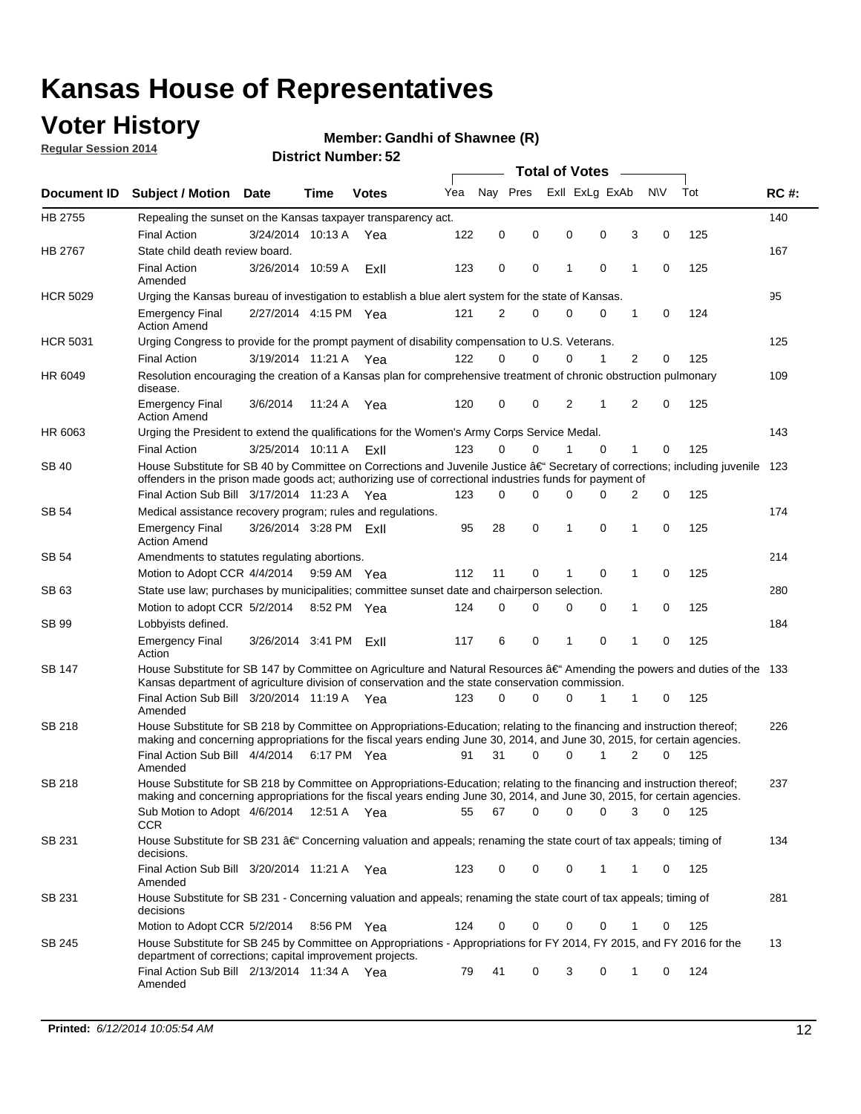### **Voter History**

**Regular Session 2014**

#### **Member: Gandhi of Shawnee (R)**

|                    |                                                                                                                                                                                                                                      |                        |             |              |     | <b>Total of Votes</b> |          |                |                |             |                |             |     |             |
|--------------------|--------------------------------------------------------------------------------------------------------------------------------------------------------------------------------------------------------------------------------------|------------------------|-------------|--------------|-----|-----------------------|----------|----------------|----------------|-------------|----------------|-------------|-----|-------------|
| <b>Document ID</b> | <b>Subject / Motion Date</b>                                                                                                                                                                                                         |                        | Time        | <b>Votes</b> | Yea | Nav Pres              |          |                | Exll ExLg ExAb |             | <b>NV</b>      |             | Tot | <b>RC#:</b> |
| HB 2755            | Repealing the sunset on the Kansas taxpayer transparency act.                                                                                                                                                                        |                        |             |              |     |                       |          |                |                |             |                |             |     | 140         |
|                    | <b>Final Action</b>                                                                                                                                                                                                                  | 3/24/2014 10:13 A      |             | Yea          | 122 | 0                     | 0        | 0              |                | 0           | 3              | 0           | 125 |             |
| HB 2767            | State child death review board.                                                                                                                                                                                                      |                        |             |              |     |                       |          |                |                |             |                |             |     | 167         |
|                    | <b>Final Action</b><br>Amended                                                                                                                                                                                                       | 3/26/2014 10:59 A      |             | Exll         | 123 | 0                     | 0        | 1              |                | $\mathbf 0$ | 1              | 0           | 125 |             |
| <b>HCR 5029</b>    | Urging the Kansas bureau of investigation to establish a blue alert system for the state of Kansas.                                                                                                                                  |                        |             |              |     |                       |          |                |                |             |                |             |     | 95          |
|                    | <b>Emergency Final</b><br><b>Action Amend</b>                                                                                                                                                                                        | 2/27/2014 4:15 PM Yea  |             |              | 121 | 2                     | 0        | 0              |                | 0           | 1              | 0           | 124 |             |
| <b>HCR 5031</b>    | Urging Congress to provide for the prompt payment of disability compensation to U.S. Veterans.                                                                                                                                       |                        |             |              |     |                       |          |                |                |             |                |             |     | 125         |
|                    | <b>Final Action</b>                                                                                                                                                                                                                  | 3/19/2014 11:21 A Yea  |             |              | 122 | $\Omega$              | $\Omega$ | 0              |                | 1           | 2              | 0           | 125 |             |
| HR 6049            | Resolution encouraging the creation of a Kansas plan for comprehensive treatment of chronic obstruction pulmonary<br>disease.                                                                                                        |                        |             |              |     |                       |          |                |                |             |                |             |     | 109         |
|                    | <b>Emergency Final</b><br><b>Action Amend</b>                                                                                                                                                                                        | 3/6/2014               | 11:24 A     | Yea          | 120 | 0                     | 0        | $\overline{2}$ |                | 1           | $\overline{2}$ | $\mathbf 0$ | 125 |             |
| HR 6063            | Urging the President to extend the qualifications for the Women's Army Corps Service Medal.                                                                                                                                          |                        |             |              |     |                       |          |                |                |             |                |             |     | 143         |
|                    | <b>Final Action</b>                                                                                                                                                                                                                  | 3/25/2014 10:11 A ExII |             |              | 123 | $\Omega$              | $\Omega$ | 1              |                | $\Omega$    | 1              | 0           | 125 |             |
| SB 40              | House Substitute for SB 40 by Committee on Corrections and Juvenile Justice †Secretary of corrections; including juvenile<br>offenders in the prison made goods act; authorizing use of correctional industries funds for payment of |                        |             |              |     |                       |          |                |                |             |                |             |     | 123         |
|                    | Final Action Sub Bill 3/17/2014 11:23 A Yea                                                                                                                                                                                          |                        |             |              | 123 | 0                     | 0        | 0              |                | $\Omega$    | 2              | 0           | 125 |             |
| SB 54              | Medical assistance recovery program; rules and regulations.                                                                                                                                                                          |                        |             |              |     |                       |          |                |                |             |                |             |     | 174         |
|                    | <b>Emergency Final</b><br><b>Action Amend</b>                                                                                                                                                                                        | 3/26/2014 3:28 PM ExII |             |              | 95  | 28                    | 0        | 1              |                | 0           | 1              | 0           | 125 |             |
| SB 54              | Amendments to statutes regulating abortions.                                                                                                                                                                                         |                        |             |              |     |                       |          |                |                |             |                |             |     | 214         |
|                    | Motion to Adopt CCR 4/4/2014                                                                                                                                                                                                         |                        | 9:59 AM Yea |              | 112 | 11                    | 0        |                |                | $\mathbf 0$ | 1              | 0           | 125 |             |
| SB 63              | State use law; purchases by municipalities; committee sunset date and chairperson selection.                                                                                                                                         |                        |             |              |     |                       |          |                |                |             |                |             |     | 280         |
|                    | Motion to adopt CCR 5/2/2014                                                                                                                                                                                                         |                        | 8:52 PM Yea |              | 124 | 0                     | 0        | 0              |                | 0           | 1              | 0           | 125 |             |
| SB 99              | Lobbyists defined.                                                                                                                                                                                                                   |                        |             |              |     |                       |          |                |                |             |                |             |     | 184         |
|                    | <b>Emergency Final</b><br>Action                                                                                                                                                                                                     | 3/26/2014 3:41 PM      |             | ExII         | 117 | 6                     | 0        | 1              |                | 0           | 1              | 0           | 125 |             |
| SB 147             | House Substitute for SB 147 by Committee on Agriculture and Natural Resources †Amending the powers and duties of the 133<br>Kansas department of agriculture division of conservation and the state conservation commission.         |                        |             |              |     |                       |          |                |                |             |                |             |     |             |
|                    | Final Action Sub Bill 3/20/2014 11:19 A Yea<br>Amended                                                                                                                                                                               |                        |             |              | 123 | 0                     | $\Omega$ | 0              |                | 1           | 1              | 0           | 125 |             |
| SB 218             | House Substitute for SB 218 by Committee on Appropriations-Education; relating to the financing and instruction thereof;                                                                                                             |                        |             |              |     |                       |          |                |                |             |                |             |     | 226         |
|                    | making and concerning appropriations for the fiscal years ending June 30, 2014, and June 30, 2015, for certain agencies.<br>Final Action Sub Bill 4/4/2014                                                                           |                        | 6:17 PM Yea |              | 91  | 31                    | $\Omega$ | 0              |                | 1           | 2              | $\Omega$    | 125 |             |
|                    | Amended                                                                                                                                                                                                                              |                        |             |              |     |                       |          |                |                |             |                |             |     |             |
| SB 218             | House Substitute for SB 218 by Committee on Appropriations-Education; relating to the financing and instruction thereof;                                                                                                             |                        |             |              |     |                       |          |                |                |             |                |             |     | 237         |
|                    | making and concerning appropriations for the fiscal years ending June 30, 2014, and June 30, 2015, for certain agencies.                                                                                                             |                        |             |              |     |                       |          |                |                |             |                |             |     |             |
|                    | Sub Motion to Adopt 4/6/2014 12:51 A Yea<br><b>CCR</b>                                                                                                                                                                               |                        |             |              | 55  | 67                    | 0        | 0              |                | 0           | 3              | 0           | 125 |             |
| SB 231             | House Substitute for SB 231 †Concerning valuation and appeals; renaming the state court of tax appeals; timing of<br>decisions.                                                                                                      |                        |             |              |     |                       |          |                |                |             |                |             |     | 134         |
|                    | Final Action Sub Bill 3/20/2014 11:21 A Yea<br>Amended                                                                                                                                                                               |                        |             |              | 123 | 0                     | 0        | 0              |                | 1           | 1              | 0           | 125 |             |
| SB 231             | House Substitute for SB 231 - Concerning valuation and appeals; renaming the state court of tax appeals; timing of<br>decisions                                                                                                      |                        |             |              |     |                       |          |                |                |             |                |             |     | 281         |
|                    | Motion to Adopt CCR 5/2/2014                                                                                                                                                                                                         |                        | 8:56 PM Yea |              | 124 | 0                     | 0        | 0              |                | 0           | 1              | 0           | 125 |             |
| SB 245             | House Substitute for SB 245 by Committee on Appropriations - Appropriations for FY 2014, FY 2015, and FY 2016 for the<br>department of corrections; capital improvement projects.                                                    |                        |             |              |     |                       |          |                |                |             |                |             |     | 13          |
|                    | Final Action Sub Bill 2/13/2014 11:34 A Yea<br>Amended                                                                                                                                                                               |                        |             |              | 79  | 41                    | 0        | 3              |                | 0           | 1              | 0           | 124 |             |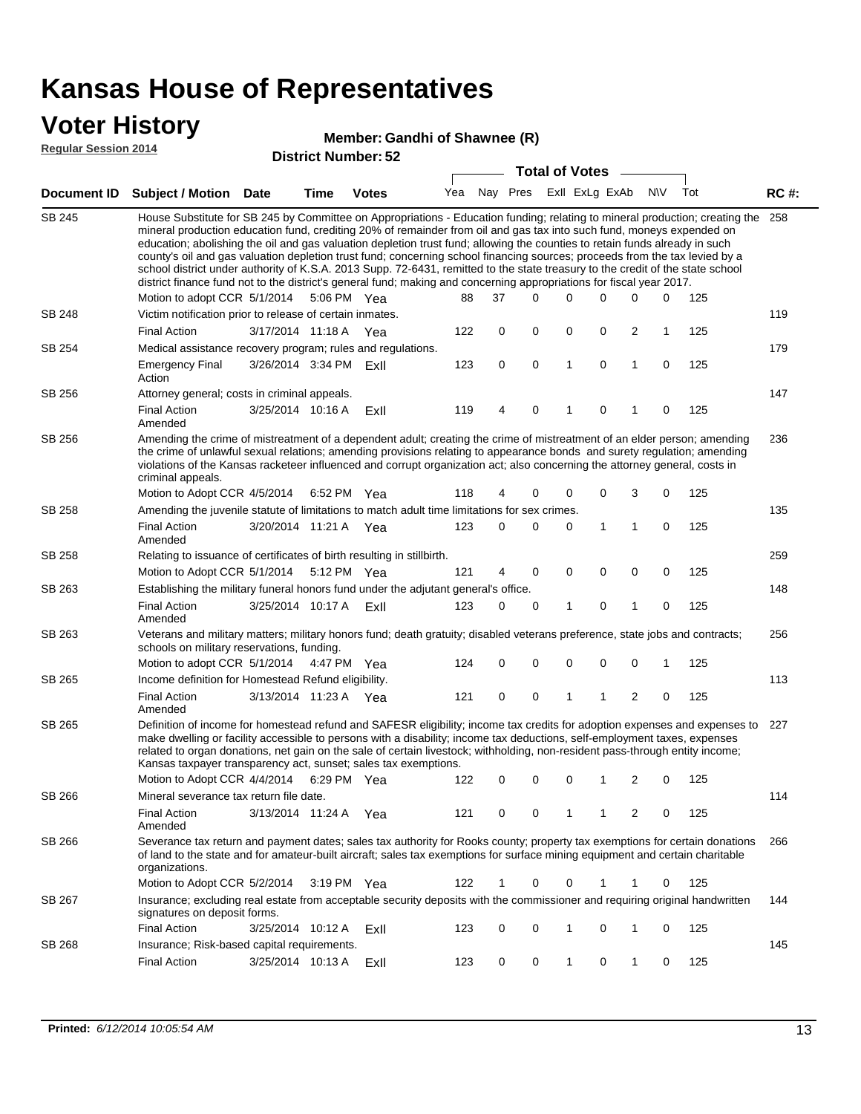### **Voter History**

#### **Member: Gandhi of Shawnee (R)**

**Regular Session 2014**

|               | <b>DISUILLINUIIIIDEI.JZ</b><br><b>Total of Votes</b><br>$\sim$                                                                                                                                                                                                                                                                                                                                                                                                                                                                                                                                                                                                                                                                                                                                                    |                        |             |              |     |    |                             |   |             |                |             |     |             |
|---------------|-------------------------------------------------------------------------------------------------------------------------------------------------------------------------------------------------------------------------------------------------------------------------------------------------------------------------------------------------------------------------------------------------------------------------------------------------------------------------------------------------------------------------------------------------------------------------------------------------------------------------------------------------------------------------------------------------------------------------------------------------------------------------------------------------------------------|------------------------|-------------|--------------|-----|----|-----------------------------|---|-------------|----------------|-------------|-----|-------------|
|               | Document ID Subject / Motion Date                                                                                                                                                                                                                                                                                                                                                                                                                                                                                                                                                                                                                                                                                                                                                                                 |                        | <b>Time</b> | <b>Votes</b> |     |    | Yea Nay Pres ExII ExLg ExAb |   |             |                | N\V         | Tot | <b>RC#:</b> |
| <b>SB 245</b> | House Substitute for SB 245 by Committee on Appropriations - Education funding; relating to mineral production; creating the 258<br>mineral production education fund, crediting 20% of remainder from oil and gas tax into such fund, moneys expended on<br>education; abolishing the oil and gas valuation depletion trust fund; allowing the counties to retain funds already in such<br>county's oil and gas valuation depletion trust fund; concerning school financing sources; proceeds from the tax levied by a<br>school district under authority of K.S.A. 2013 Supp. 72-6431, remitted to the state treasury to the credit of the state school<br>district finance fund not to the district's general fund; making and concerning appropriations for fiscal year 2017.<br>Motion to adopt CCR 5/1/2014 |                        | 5:06 PM Yea |              | 88  | 37 | $\Omega$                    | 0 | 0           | 0              | 0           | 125 |             |
| <b>SB 248</b> | Victim notification prior to release of certain inmates.                                                                                                                                                                                                                                                                                                                                                                                                                                                                                                                                                                                                                                                                                                                                                          |                        |             |              |     |    |                             |   |             |                |             |     | 119         |
|               | <b>Final Action</b>                                                                                                                                                                                                                                                                                                                                                                                                                                                                                                                                                                                                                                                                                                                                                                                               | 3/17/2014 11:18 A      |             | Yea          | 122 | 0  | 0                           | 0 | 0           | 2              | 1           | 125 |             |
| SB 254        | Medical assistance recovery program; rules and regulations.                                                                                                                                                                                                                                                                                                                                                                                                                                                                                                                                                                                                                                                                                                                                                       |                        |             |              |     |    |                             |   |             |                |             |     | 179         |
|               | <b>Emergency Final</b><br>Action                                                                                                                                                                                                                                                                                                                                                                                                                                                                                                                                                                                                                                                                                                                                                                                  | 3/26/2014 3:34 PM ExII |             |              | 123 | 0  | 0                           | 1 | $\mathbf 0$ | 1              | $\mathbf 0$ | 125 |             |
| SB 256        | Attorney general; costs in criminal appeals.                                                                                                                                                                                                                                                                                                                                                                                                                                                                                                                                                                                                                                                                                                                                                                      |                        |             |              |     |    |                             |   |             |                |             |     | 147         |
|               | <b>Final Action</b><br>Amended                                                                                                                                                                                                                                                                                                                                                                                                                                                                                                                                                                                                                                                                                                                                                                                    | 3/25/2014 10:16 A      |             | ExII         | 119 | 4  | $\mathbf 0$                 | 1 | 0           | 1              | 0           | 125 |             |
| SB 256        | Amending the crime of mistreatment of a dependent adult; creating the crime of mistreatment of an elder person; amending<br>the crime of unlawful sexual relations; amending provisions relating to appearance bonds and surety regulation; amending<br>violations of the Kansas racketeer influenced and corrupt organization act; also concerning the attorney general, costs in<br>criminal appeals.                                                                                                                                                                                                                                                                                                                                                                                                           |                        |             |              |     |    |                             |   |             |                |             |     | 236         |
|               | Motion to Adopt CCR 4/5/2014                                                                                                                                                                                                                                                                                                                                                                                                                                                                                                                                                                                                                                                                                                                                                                                      |                        | 6:52 PM Yea |              | 118 | 4  | 0                           | 0 | 0           | 3              | 0           | 125 |             |
| SB 258        | Amending the juvenile statute of limitations to match adult time limitations for sex crimes.                                                                                                                                                                                                                                                                                                                                                                                                                                                                                                                                                                                                                                                                                                                      |                        |             |              |     |    |                             |   |             | $\mathbf{1}$   | 0           |     | 135         |
|               | <b>Final Action</b><br>Amended                                                                                                                                                                                                                                                                                                                                                                                                                                                                                                                                                                                                                                                                                                                                                                                    | 3/20/2014 11:21 A Yea  |             |              | 123 | 0  | 0                           | 0 | 1           |                |             | 125 |             |
| SB 258        | Relating to issuance of certificates of birth resulting in stillbirth.                                                                                                                                                                                                                                                                                                                                                                                                                                                                                                                                                                                                                                                                                                                                            |                        |             |              |     |    |                             |   |             |                |             |     | 259         |
|               | Motion to Adopt CCR 5/1/2014 5:12 PM Yea                                                                                                                                                                                                                                                                                                                                                                                                                                                                                                                                                                                                                                                                                                                                                                          |                        |             |              | 121 | 4  | 0                           | 0 | $\mathbf 0$ | 0              | 0           | 125 |             |
| SB 263        | Establishing the military funeral honors fund under the adjutant general's office.<br><b>Final Action</b>                                                                                                                                                                                                                                                                                                                                                                                                                                                                                                                                                                                                                                                                                                         | 3/25/2014 10:17 A ExII |             |              | 123 | 0  | 0                           | 1 | 0           | $\mathbf{1}$   | 0           | 125 | 148         |
| SB 263        | Amended<br>Veterans and military matters; military honors fund; death gratuity; disabled veterans preference, state jobs and contracts;                                                                                                                                                                                                                                                                                                                                                                                                                                                                                                                                                                                                                                                                           |                        |             |              |     |    |                             |   |             |                |             |     |             |
|               | schools on military reservations, funding.<br>Motion to adopt CCR 5/1/2014 4:47 PM Yea                                                                                                                                                                                                                                                                                                                                                                                                                                                                                                                                                                                                                                                                                                                            |                        |             |              | 124 | 0  | 0                           | 0 | 0           | 0              | 1           | 125 | 256         |
| SB 265        | Income definition for Homestead Refund eligibility.                                                                                                                                                                                                                                                                                                                                                                                                                                                                                                                                                                                                                                                                                                                                                               |                        |             |              |     |    |                             |   |             |                |             |     | 113         |
|               | <b>Final Action</b>                                                                                                                                                                                                                                                                                                                                                                                                                                                                                                                                                                                                                                                                                                                                                                                               | 3/13/2014 11:23 A Yea  |             |              | 121 | 0  | 0                           | 1 | 1           | 2              | 0           | 125 |             |
|               | Amended                                                                                                                                                                                                                                                                                                                                                                                                                                                                                                                                                                                                                                                                                                                                                                                                           |                        |             |              |     |    |                             |   |             |                |             |     |             |
| SB 265        | Definition of income for homestead refund and SAFESR eligibility; income tax credits for adoption expenses and expenses to<br>make dwelling or facility accessible to persons with a disability; income tax deductions, self-employment taxes, expenses<br>related to organ donations, net gain on the sale of certain livestock; withholding, non-resident pass-through entity income;<br>Kansas taxpayer transparency act, sunset; sales tax exemptions.<br>Motion to Adopt CCR 4/4/2014                                                                                                                                                                                                                                                                                                                        |                        | 6:29 PM Yea |              | 122 | 0  |                             |   |             |                |             | 125 | 227         |
|               |                                                                                                                                                                                                                                                                                                                                                                                                                                                                                                                                                                                                                                                                                                                                                                                                                   |                        |             |              |     |    | 0                           | 0 | 1           | $\overline{2}$ | 0           |     |             |
| SB 266        | Mineral severance tax return file date.<br><b>Final Action</b><br>Amended                                                                                                                                                                                                                                                                                                                                                                                                                                                                                                                                                                                                                                                                                                                                         | 3/13/2014 11:24 A      |             | Yea          | 121 | 0  | 0                           | 1 | 1           | 2              | 0           | 125 | 114         |
| SB 266        | Severance tax return and payment dates; sales tax authority for Rooks county; property tax exemptions for certain donations<br>of land to the state and for amateur-built aircraft; sales tax exemptions for surface mining equipment and certain charitable<br>organizations.                                                                                                                                                                                                                                                                                                                                                                                                                                                                                                                                    |                        |             |              |     |    |                             |   |             |                |             |     | 266         |
|               | Motion to Adopt CCR 5/2/2014                                                                                                                                                                                                                                                                                                                                                                                                                                                                                                                                                                                                                                                                                                                                                                                      |                        | 3:19 PM Yea |              | 122 | 1  | 0                           | 0 |             | 1              | 0           | 125 |             |
| SB 267        | Insurance; excluding real estate from acceptable security deposits with the commissioner and requiring original handwritten<br>signatures on deposit forms.                                                                                                                                                                                                                                                                                                                                                                                                                                                                                                                                                                                                                                                       |                        |             |              |     |    |                             |   |             |                |             |     | 144         |
|               | <b>Final Action</b>                                                                                                                                                                                                                                                                                                                                                                                                                                                                                                                                                                                                                                                                                                                                                                                               | 3/25/2014 10:12 A Exll |             |              | 123 | 0  | 0                           | 1 | 0           | $\mathbf{1}$   | 0           | 125 |             |
| SB 268        | Insurance; Risk-based capital requirements.                                                                                                                                                                                                                                                                                                                                                                                                                                                                                                                                                                                                                                                                                                                                                                       |                        |             |              |     |    |                             |   |             |                |             |     | 145         |
|               | <b>Final Action</b>                                                                                                                                                                                                                                                                                                                                                                                                                                                                                                                                                                                                                                                                                                                                                                                               | 3/25/2014 10:13 A      |             | ExII         | 123 | 0  | 0                           | 1 | 0           | 1              | 0           | 125 |             |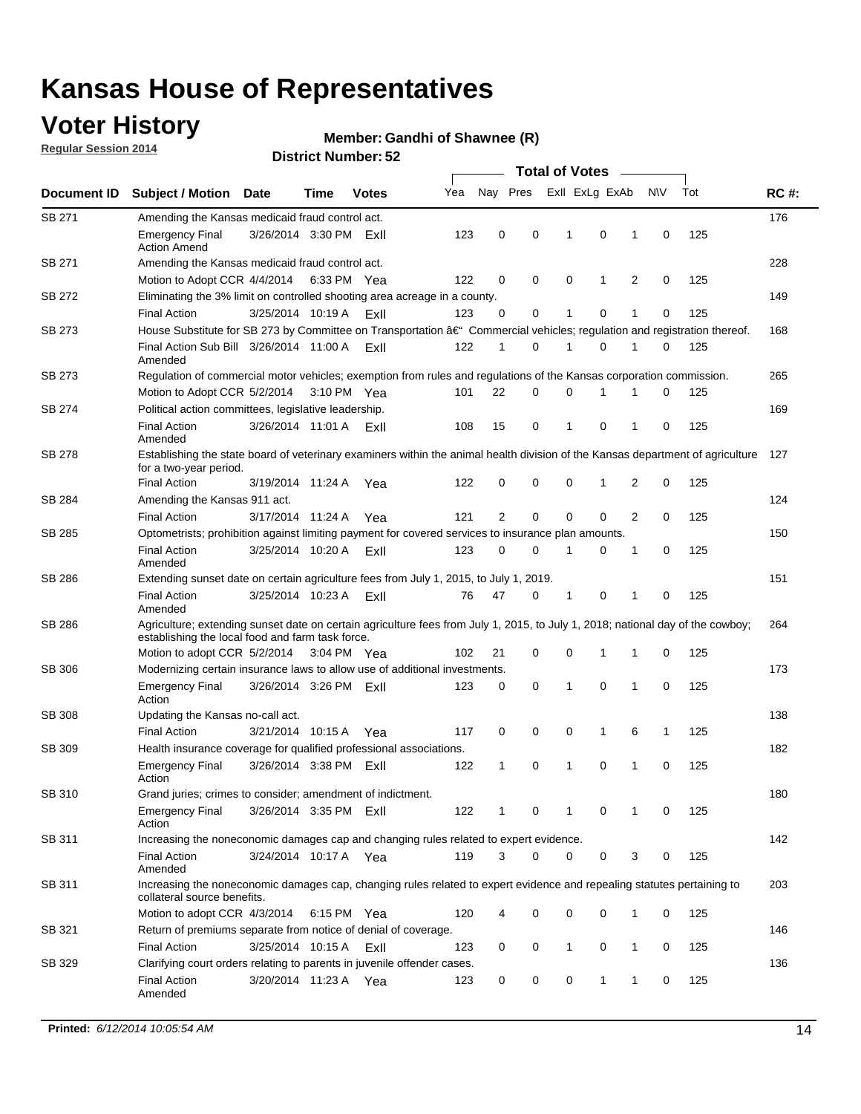### **Voter History**

**Regular Session 2014**

#### **Member: Gandhi of Shawnee (R)**

|               |                                                                                                                                                                                    | Time                   |             | <b>Votes</b> |     | <b>Total of Votes</b> |   |  |                |             |                |             |     |             |
|---------------|------------------------------------------------------------------------------------------------------------------------------------------------------------------------------------|------------------------|-------------|--------------|-----|-----------------------|---|--|----------------|-------------|----------------|-------------|-----|-------------|
| Document ID   | <b>Subject / Motion Date</b>                                                                                                                                                       |                        |             |              | Yea | Nay Pres              |   |  | Exll ExLg ExAb |             |                | <b>NV</b>   | Tot | <b>RC#:</b> |
| SB 271        | Amending the Kansas medicaid fraud control act.                                                                                                                                    |                        |             |              |     |                       |   |  |                |             |                |             |     | 176         |
|               | <b>Emergency Final</b><br><b>Action Amend</b>                                                                                                                                      | 3/26/2014 3:30 PM ExII |             |              | 123 | 0                     | 0 |  | 1              | 0           | 1              | 0           | 125 |             |
| SB 271        | Amending the Kansas medicaid fraud control act.                                                                                                                                    |                        |             |              |     |                       |   |  |                |             |                |             |     | 228         |
|               | Motion to Adopt CCR 4/4/2014 6:33 PM Yea                                                                                                                                           |                        |             |              | 122 | 0                     | 0 |  | 0              | 1           | 2              | 0           | 125 |             |
| SB 272        | Eliminating the 3% limit on controlled shooting area acreage in a county.                                                                                                          |                        |             |              |     |                       |   |  |                |             |                |             |     | 149         |
|               | <b>Final Action</b>                                                                                                                                                                | 3/25/2014 10:19 A      |             | ExII         | 123 | 0                     | 0 |  | 1              | 0           | 1              | 0           | 125 |             |
| SB 273        | House Substitute for SB 273 by Committee on Transportation †Commercial vehicles; regulation and registration thereof.                                                              |                        |             |              |     |                       |   |  |                |             |                |             |     | 168         |
|               | Final Action Sub Bill 3/26/2014 11:00 A FxII<br>Amended                                                                                                                            |                        |             |              | 122 | 1                     | 0 |  | 1              | 0           | 1              | 0           | 125 |             |
| SB 273        | Regulation of commercial motor vehicles; exemption from rules and regulations of the Kansas corporation commission.                                                                |                        |             |              |     |                       |   |  |                |             |                |             |     | 265         |
|               | Motion to Adopt CCR 5/2/2014                                                                                                                                                       |                        | 3:10 PM Yea |              | 101 | 22                    | 0 |  | 0              | 1           | 1              | 0           | 125 |             |
| SB 274        | Political action committees, legislative leadership.                                                                                                                               |                        |             |              |     |                       |   |  |                |             |                |             |     | 169         |
|               | <b>Final Action</b><br>Amended                                                                                                                                                     | 3/26/2014 11:01 A      |             | ExII         | 108 | 15                    | 0 |  | -1             | 0           | 1              | 0           | 125 |             |
| SB 278        | Establishing the state board of veterinary examiners within the animal health division of the Kansas department of agriculture<br>for a two-year period.                           |                        |             |              |     |                       |   |  |                |             |                |             |     | 127         |
|               | <b>Final Action</b>                                                                                                                                                                | 3/19/2014 11:24 A      |             | Yea          | 122 | 0                     | 0 |  | 0              | 1           | 2              | 0           | 125 |             |
| SB 284        | Amending the Kansas 911 act.                                                                                                                                                       |                        |             |              |     |                       |   |  |                |             |                |             |     | 124         |
|               | <b>Final Action</b>                                                                                                                                                                | 3/17/2014 11:24 A      |             | Yea          | 121 | 2                     | 0 |  | 0              | $\mathbf 0$ | $\overline{2}$ | 0           | 125 |             |
| SB 285        | Optometrists; prohibition against limiting payment for covered services to insurance plan amounts.                                                                                 |                        |             |              |     |                       |   |  |                |             |                |             |     | 150         |
|               | <b>Final Action</b><br>Amended                                                                                                                                                     | 3/25/2014 10:20 A      |             | ExII         | 123 | 0                     | 0 |  | $\mathbf 1$    | 0           | 1              | 0           | 125 |             |
| SB 286        | Extending sunset date on certain agriculture fees from July 1, 2015, to July 1, 2019.                                                                                              |                        |             |              |     |                       |   |  |                |             |                |             |     | 151         |
|               | <b>Final Action</b><br>Amended                                                                                                                                                     | 3/25/2014 10:23 A      |             | ExII         | 76  | 47                    | 0 |  | $\mathbf{1}$   | 0           | 1              | $\mathbf 0$ | 125 |             |
| SB 286        | Agriculture; extending sunset date on certain agriculture fees from July 1, 2015, to July 1, 2018; national day of the cowboy;<br>establishing the local food and farm task force. |                        |             |              |     |                       |   |  |                |             |                |             |     | 264         |
|               | Motion to adopt CCR 5/2/2014 3:04 PM Yea                                                                                                                                           |                        |             |              | 102 | 21                    | 0 |  | 0              | $\mathbf 1$ | 1              | 0           | 125 |             |
| SB 306        | Modernizing certain insurance laws to allow use of additional investments.                                                                                                         |                        |             |              |     |                       |   |  |                |             |                |             |     | 173         |
|               | <b>Emergency Final</b><br>Action                                                                                                                                                   | 3/26/2014 3:26 PM      |             | ExII         | 123 | 0                     | 0 |  | 1              | 0           | 1              | 0           | 125 |             |
| <b>SB 308</b> | Updating the Kansas no-call act.                                                                                                                                                   |                        |             |              |     |                       |   |  |                |             |                |             |     | 138         |
|               | <b>Final Action</b>                                                                                                                                                                | 3/21/2014 10:15 A      |             | Yea          | 117 | 0                     | 0 |  | 0              | 1           | 6              | 1           | 125 |             |
| SB 309        | Health insurance coverage for qualified professional associations.                                                                                                                 |                        |             |              |     |                       |   |  |                |             |                |             |     | 182         |
|               | <b>Emergency Final</b><br>Action                                                                                                                                                   | 3/26/2014 3:38 PM ExII |             |              | 122 | 1                     | 0 |  | $\mathbf{1}$   | 0           | 1              | $\mathbf 0$ | 125 |             |
| SB 310        | Grand juries; crimes to consider; amendment of indictment.                                                                                                                         |                        |             |              |     |                       |   |  |                |             |                |             |     | 180         |
|               | <b>Emergency Final</b><br>Action                                                                                                                                                   | 3/26/2014 3:35 PM Exll |             |              | 122 | 1                     | 0 |  | 1              | 0           | 1              | 0           | 125 |             |
| SB 311        | Increasing the noneconomic damages cap and changing rules related to expert evidence.                                                                                              |                        |             |              |     |                       |   |  |                |             |                |             |     | 142         |
|               | <b>Final Action</b><br>Amended                                                                                                                                                     | 3/24/2014 10:17 A Yea  |             |              | 119 | 3                     | 0 |  | 0              | 0           | 3              | 0           | 125 |             |
| SB 311        | Increasing the noneconomic damages cap, changing rules related to expert evidence and repealing statutes pertaining to<br>collateral source benefits.                              |                        |             |              |     |                       |   |  |                |             |                |             |     | 203         |
|               | Motion to adopt CCR 4/3/2014 6:15 PM Yea                                                                                                                                           |                        |             |              | 120 | 4                     | 0 |  | 0              | 0           | 1              | 0           | 125 |             |
| SB 321        | Return of premiums separate from notice of denial of coverage.                                                                                                                     |                        |             |              |     |                       |   |  |                |             |                |             |     | 146         |
|               | <b>Final Action</b>                                                                                                                                                                | 3/25/2014 10:15 A ExII |             |              | 123 | 0                     | 0 |  | 1              | 0           | 1              | 0           | 125 |             |
| SB 329        | Clarifying court orders relating to parents in juvenile offender cases.<br><b>Final Action</b><br>Amended                                                                          | 3/20/2014 11:23 A Yea  |             |              | 123 | 0                     | 0 |  | 0              | 1           | 1              | 0           | 125 | 136         |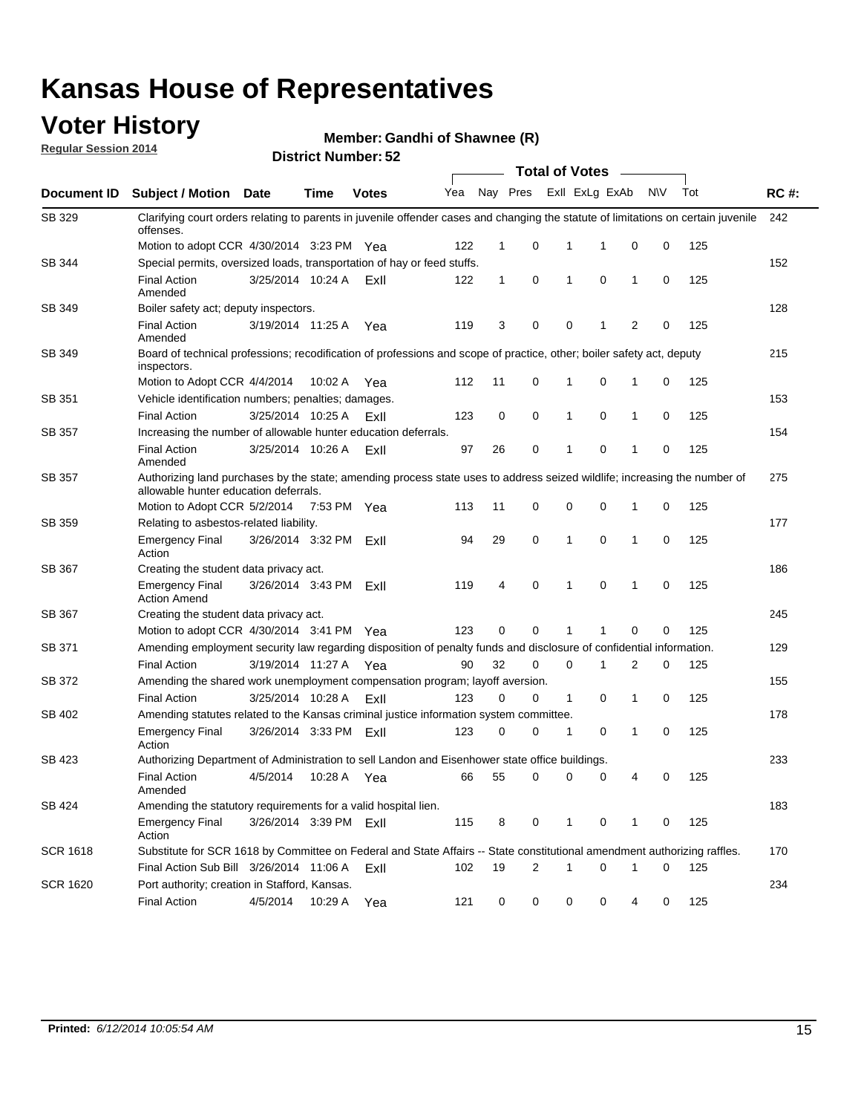### **Voter History**

**Regular Session 2014**

#### **Member: Gandhi of Shawnee (R)**

|                 | <b>Total of Votes</b>                                                                                                                                              |                        |             |              |     |              |          |  |              |                             |        |     |             |
|-----------------|--------------------------------------------------------------------------------------------------------------------------------------------------------------------|------------------------|-------------|--------------|-----|--------------|----------|--|--------------|-----------------------------|--------|-----|-------------|
| Document ID     | Subject / Motion Date                                                                                                                                              |                        | <b>Time</b> | <b>Votes</b> | Yea |              | Nay Pres |  |              | Exll ExLg ExAb              | N\V    | Tot | <b>RC#:</b> |
| SB 329          | Clarifying court orders relating to parents in juvenile offender cases and changing the statute of limitations on certain juvenile<br>offenses.                    |                        |             |              |     |              |          |  |              |                             |        |     | 242         |
|                 | Motion to adopt CCR 4/30/2014 3:23 PM Yea                                                                                                                          |                        |             |              | 122 | $\mathbf 1$  | 0        |  | 1            | -1<br>0                     | 0      | 125 |             |
| SB 344          | Special permits, oversized loads, transportation of hay or feed stuffs.                                                                                            |                        |             |              |     |              |          |  |              |                             |        |     | 152         |
|                 | <b>Final Action</b><br>Amended                                                                                                                                     | 3/25/2014 10:24 A      |             | ExII         | 122 | $\mathbf{1}$ | 0        |  | 1            | 0<br>1                      | 0      | 125 |             |
| SB 349          | Boiler safety act; deputy inspectors.                                                                                                                              |                        |             |              |     |              |          |  |              |                             |        |     | 128         |
|                 | <b>Final Action</b><br>Amended                                                                                                                                     | 3/19/2014 11:25 A      |             | Yea          | 119 | 3            | 0        |  | 0            | $\overline{2}$<br>1         | 0      | 125 |             |
| SB 349          | Board of technical professions; recodification of professions and scope of practice, other; boiler safety act, deputy<br>inspectors.                               |                        |             |              |     |              |          |  |              |                             |        |     | 215         |
|                 | Motion to Adopt CCR 4/4/2014                                                                                                                                       |                        | 10:02 A     | Yea          | 112 | 11           | 0        |  | 1            | 0<br>1                      | 0      | 125 |             |
| SB 351          | Vehicle identification numbers; penalties; damages.                                                                                                                |                        |             |              |     |              |          |  |              |                             |        |     | 153         |
|                 | <b>Final Action</b>                                                                                                                                                | 3/25/2014 10:25 A      |             | ExII         | 123 | 0            | 0        |  | 1            | 0<br>1                      | 0      | 125 |             |
| <b>SB 357</b>   | Increasing the number of allowable hunter education deferrals.                                                                                                     |                        |             |              |     |              |          |  |              |                             |        |     | 154         |
|                 | <b>Final Action</b><br>Amended                                                                                                                                     | 3/25/2014 10:26 A      |             | ExII         | 97  | 26           | 0        |  | 1            | 0<br>1                      | 0      | 125 |             |
| <b>SB 357</b>   | Authorizing land purchases by the state; amending process state uses to address seized wildlife; increasing the number of<br>allowable hunter education deferrals. |                        |             |              |     |              |          |  |              |                             |        |     | 275         |
|                 | Motion to Adopt CCR 5/2/2014                                                                                                                                       |                        | 7:53 PM Yea |              | 113 | 11           | 0        |  | 0            | $\mathbf 0$<br>1            | 0      | 125 |             |
| SB 359          | Relating to asbestos-related liability.                                                                                                                            |                        |             |              |     |              |          |  |              |                             |        |     | 177         |
|                 | <b>Emergency Final</b><br>Action                                                                                                                                   | 3/26/2014 3:32 PM      |             | ExII         | 94  | 29           | 0        |  | 1            | $\mathbf 0$<br>$\mathbf{1}$ | 0      | 125 |             |
| SB 367          | Creating the student data privacy act.                                                                                                                             |                        |             |              |     |              |          |  |              |                             |        |     | 186         |
|                 | <b>Emergency Final</b><br><b>Action Amend</b>                                                                                                                      | 3/26/2014 3:43 PM      |             | ExII         | 119 | 4            | 0        |  | 1            | 0<br>1                      | 0      | 125 |             |
| SB 367          | Creating the student data privacy act.                                                                                                                             |                        |             |              |     |              |          |  |              |                             |        |     | 245         |
|                 | Motion to adopt CCR 4/30/2014 3:41 PM Yea                                                                                                                          |                        |             |              | 123 | 0            | $\Omega$ |  |              | 0<br>1                      | 0      | 125 |             |
| SB 371          | Amending employment security law regarding disposition of penalty funds and disclosure of confidential information.                                                |                        |             |              |     |              |          |  |              |                             |        |     | 129         |
|                 | <b>Final Action</b>                                                                                                                                                | 3/19/2014 11:27 A      |             | Yea          | 90  | 32           | 0        |  | $\mathbf 0$  | 1<br>2                      | 0      | 125 |             |
| SB 372          | Amending the shared work unemployment compensation program; layoff aversion.                                                                                       |                        |             |              |     |              |          |  |              |                             |        |     | 155         |
|                 | <b>Final Action</b>                                                                                                                                                | 3/25/2014 10:28 A      |             | ExII         | 123 | 0            | 0        |  | $\mathbf{1}$ | 0<br>1                      | 0      | 125 |             |
| SB 402          | Amending statutes related to the Kansas criminal justice information system committee.                                                                             |                        |             |              |     |              |          |  |              |                             |        |     | 178         |
|                 | <b>Emergency Final</b><br>Action                                                                                                                                   | 3/26/2014 3:33 PM      |             | ExII         | 123 | 0            | 0        |  | 1            | 0<br>1                      | 0      | 125 |             |
| SB 423          | Authorizing Department of Administration to sell Landon and Eisenhower state office buildings.                                                                     |                        |             |              |     |              |          |  |              |                             |        |     | 233         |
|                 | <b>Final Action</b><br>Amended                                                                                                                                     | 4/5/2014               | 10:28 A     | Yea          | 66  | 55           | 0        |  | 0            | 0<br>4                      | 0      | 125 |             |
| SB 424          | Amending the statutory requirements for a valid hospital lien.                                                                                                     |                        |             |              |     |              |          |  |              |                             |        |     | 183         |
|                 | <b>Emergency Final</b><br>Action                                                                                                                                   | 3/26/2014 3:39 PM ExII |             |              | 115 | 8            | 0        |  | 1            | 0<br>1                      | 0      | 125 |             |
| <b>SCR 1618</b> | Substitute for SCR 1618 by Committee on Federal and State Affairs -- State constitutional amendment authorizing raffles.                                           |                        |             |              |     |              |          |  |              |                             |        |     | 170         |
|                 | Final Action Sub Bill 3/26/2014 11:06 A                                                                                                                            |                        |             | ExII         | 102 | 19           | 2        |  | 1            | 0<br>1                      | 0      | 125 |             |
| <b>SCR 1620</b> | Port authority; creation in Stafford, Kansas.                                                                                                                      |                        |             |              |     |              |          |  |              |                             |        |     | 234         |
|                 | <b>Final Action</b>                                                                                                                                                | 4/5/2014               | 10:29 A     | Yea          | 121 | 0            | 0        |  | 0            | 0                           | 4<br>0 | 125 |             |